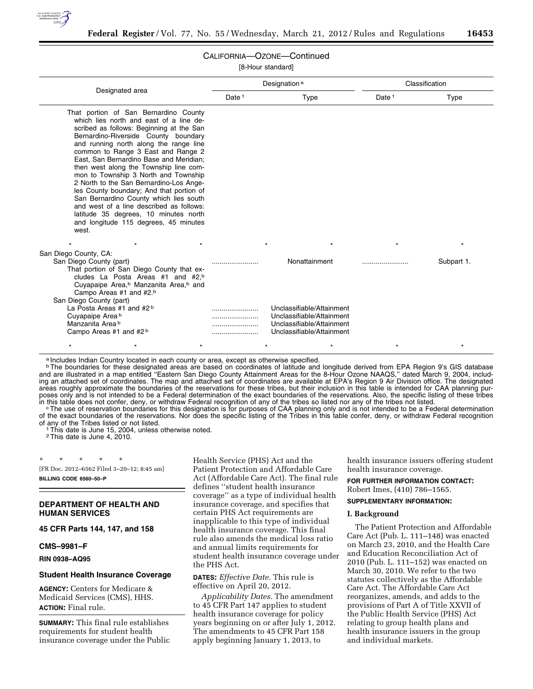

# CALIFORNIA—OZONE—Continued

[8-Hour standard]

|                                                                                                                                                                                                                                                                                                                                                                                                                                                                                                                                                                                                                                                           |                   | Designation <sup>a</sup>                                                                                                               | Classification |                       |  |
|-----------------------------------------------------------------------------------------------------------------------------------------------------------------------------------------------------------------------------------------------------------------------------------------------------------------------------------------------------------------------------------------------------------------------------------------------------------------------------------------------------------------------------------------------------------------------------------------------------------------------------------------------------------|-------------------|----------------------------------------------------------------------------------------------------------------------------------------|----------------|-----------------------|--|
| Designated area                                                                                                                                                                                                                                                                                                                                                                                                                                                                                                                                                                                                                                           | Date <sup>1</sup> | Type                                                                                                                                   | Date $1$       | <b>Type</b>           |  |
| That portion of San Bernardino County<br>which lies north and east of a line de-<br>scribed as follows: Beginning at the San<br>Bernardino-Riverside County boundary<br>and running north along the range line<br>common to Range 3 East and Range 2<br>East, San Bernardino Base and Meridian;<br>then west along the Township line com-<br>mon to Township 3 North and Township<br>2 North to the San Bernardino-Los Ange-<br>les County boundary; And that portion of<br>San Bernardino County which lies south<br>and west of a line described as follows:<br>latitude 35 degrees, 10 minutes north<br>and longitude 115 degrees, 45 minutes<br>west. |                   |                                                                                                                                        |                |                       |  |
| San Diego County, CA:<br>San Diego County (part)<br>That portion of San Diego County that ex-<br>cludes La Posta Areas #1 and #2, <sup>b</sup><br>Cuyapaipe Area, <sup>b</sup> Manzanita Area, <sup>b</sup> and<br>Campo Areas #1 and #2.b                                                                                                                                                                                                                                                                                                                                                                                                                |                   | Nonattainment                                                                                                                          |                | $\star$<br>Subpart 1. |  |
| San Diego County (part)<br>La Posta Areas #1 and $#2^b$<br>Cuyapaipe Area b<br>Manzanita Area b<br>Campo Areas #1 and #2b<br>$\star$<br>$\star$<br>$\star$                                                                                                                                                                                                                                                                                                                                                                                                                                                                                                |                   | Unclassifiable/Attainment<br>Unclassifiable/Attainment<br>Unclassifiable/Attainment<br>Unclassifiable/Attainment<br>$\star$<br>$\star$ |                | $\star$               |  |

a Includes Indian Country located in each county or area, except as otherwise specified.

**bThe boundaries for these designated areas are based on coordinates of latitude and longitude derived from EPA Region 9's GIS database** and are illustrated in a map entitled ''Eastern San Diego County Attainment Areas for the 8-Hour Ozone NAAQS,'' dated March 9, 2004, including an attached set of coordinates. The map and attached set of coordinates are available at EPA's Region 9 Air Division office. The designated areas roughly approximate the boundaries of the reservations for these tribes, but their inclusion in this table is intended for CAA planning purposes only and is not intended to be a Federal determination of the exact boundaries of the reservations. Also, the specific listing of these tribes<br>in this table does not confer, deny, or withdraw Federal recognition of a

in this table does not confer, deny, or withdraw Federal recognition of any of the tribes so listed nor any of the tribes not listed.<br>The use of reservation boundaries for this designation is for purposes of CAA planning o of the exact boundaries of the reservations. Nor does the specific listing of the Tribes in this table confer, deny, or withdraw Federal recognition of any of the Tribes listed or not listed.<br><sup>1</sup>This date is June 15, 2004, unless otherwise noted.

2This date is June 4, 2010.

\* \* \* \* \* [FR Doc. 2012–6562 Filed 3–20–12; 8:45 am]

**BILLING CODE 6560–50–P** 

### **DEPARTMENT OF HEALTH AND HUMAN SERVICES**

**45 CFR Parts 144, 147, and 158** 

**CMS–9981–F** 

### **RIN 0938–AQ95**

### **Student Health Insurance Coverage**

**AGENCY:** Centers for Medicare & Medicaid Services (CMS), HHS. **ACTION:** Final rule.

**SUMMARY:** This final rule establishes requirements for student health insurance coverage under the Public Health Service (PHS) Act and the Patient Protection and Affordable Care Act (Affordable Care Act). The final rule defines ''student health insurance coverage'' as a type of individual health insurance coverage, and specifies that certain PHS Act requirements are inapplicable to this type of individual health insurance coverage. This final rule also amends the medical loss ratio and annual limits requirements for student health insurance coverage under the PHS Act.

**DATES:** *Effective Date.* This rule is effective on April 20, 2012.

*Applicability Dates.* The amendment to 45 CFR Part 147 applies to student health insurance coverage for policy years beginning on or after July 1, 2012. The amendments to 45 CFR Part 158 apply beginning January 1, 2013, to

health insurance issuers offering student health insurance coverage.

### **FOR FURTHER INFORMATION CONTACT:**  Robert Imes, (410) 786–1565.

# **SUPPLEMENTARY INFORMATION:**

#### **I. Background**

The Patient Protection and Affordable Care Act (Pub. L. 111–148) was enacted on March 23, 2010, and the Health Care and Education Reconciliation Act of 2010 (Pub. L. 111–152) was enacted on March 30, 2010. We refer to the two statutes collectively as the Affordable Care Act. The Affordable Care Act reorganizes, amends, and adds to the provisions of Part A of Title XXVII of the Public Health Service (PHS) Act relating to group health plans and health insurance issuers in the group and individual markets.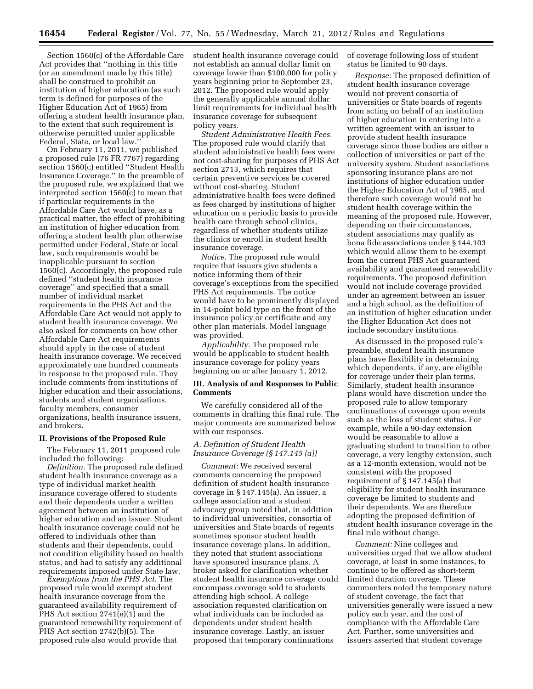Section 1560(c) of the Affordable Care Act provides that ''nothing in this title (or an amendment made by this title) shall be construed to prohibit an institution of higher education (as such term is defined for purposes of the Higher Education Act of 1965) from offering a student health insurance plan, to the extent that such requirement is otherwise permitted under applicable Federal, State, or local law.''

On February 11, 2011, we published a proposed rule (76 FR 7767) regarding section 1560(c) entitled ''Student Health Insurance Coverage.'' In the preamble of the proposed rule, we explained that we interpreted section 1560(c) to mean that if particular requirements in the Affordable Care Act would have, as a practical matter, the effect of prohibiting an institution of higher education from offering a student health plan otherwise permitted under Federal, State or local law, such requirements would be inapplicable pursuant to section 1560(c). Accordingly, the proposed rule defined ''student health insurance coverage'' and specified that a small number of individual market requirements in the PHS Act and the Affordable Care Act would not apply to student health insurance coverage. We also asked for comments on how other Affordable Care Act requirements should apply in the case of student health insurance coverage. We received approximately one hundred comments in response to the proposed rule. They include comments from institutions of higher education and their associations, students and student organizations, faculty members, consumer organizations, health insurance issuers, and brokers.

# **II. Provisions of the Proposed Rule**

The February 11, 2011 proposed rule included the following:

*Definition.* The proposed rule defined student health insurance coverage as a type of individual market health insurance coverage offered to students and their dependents under a written agreement between an institution of higher education and an issuer. Student health insurance coverage could not be offered to individuals other than students and their dependents, could not condition eligibility based on health status, and had to satisfy any additional requirements imposed under State law.

*Exemptions from the PHS Act.* The proposed rule would exempt student health insurance coverage from the guaranteed availability requirement of PHS Act section 2741(e)(1) and the guaranteed renewability requirement of PHS Act section 2742(b)(5). The proposed rule also would provide that

student health insurance coverage could not establish an annual dollar limit on coverage lower than \$100,000 for policy years beginning prior to September 23, 2012. The proposed rule would apply the generally applicable annual dollar limit requirements for individual health insurance coverage for subsequent policy years.

*Student Administrative Health Fees.*  The proposed rule would clarify that student administrative health fees were not cost-sharing for purposes of PHS Act section 2713, which requires that certain preventive services be covered without cost-sharing. Student administrative health fees were defined as fees charged by institutions of higher education on a periodic basis to provide health care through school clinics, regardless of whether students utilize the clinics or enroll in student health insurance coverage.

*Notice.* The proposed rule would require that issuers give students a notice informing them of their coverage's exceptions from the specified PHS Act requirements. The notice would have to be prominently displayed in 14-point bold type on the front of the insurance policy or certificate and any other plan materials. Model language was provided.

*Applicability.* The proposed rule would be applicable to student health insurance coverage for policy years beginning on or after January 1, 2012.

# **III. Analysis of and Responses to Public Comments**

We carefully considered all of the comments in drafting this final rule. The major comments are summarized below with our responses.

# *A. Definition of Student Health Insurance Coverage (§ 147.145 (a))*

*Comment:* We received several comments concerning the proposed definition of student health insurance coverage in § 147.145(a). An issuer, a college association and a student advocacy group noted that, in addition to individual universities, consortia of universities and State boards of regents sometimes sponsor student health insurance coverage plans. In addition, they noted that student associations have sponsored insurance plans. A broker asked for clarification whether student health insurance coverage could encompass coverage sold to students attending high school. A college association requested clarification on what individuals can be included as dependents under student health insurance coverage. Lastly, an issuer proposed that temporary continuations

of coverage following loss of student status be limited to 90 days.

*Response:* The proposed definition of student health insurance coverage would not prevent consortia of universities or State boards of regents from acting on behalf of an institution of higher education in entering into a written agreement with an issuer to provide student health insurance coverage since those bodies are either a collection of universities or part of the university system. Student associations sponsoring insurance plans are not institutions of higher education under the Higher Education Act of 1965, and therefore such coverage would not be student health coverage within the meaning of the proposed rule. However, depending on their circumstances, student associations may qualify as bona fide associations under § 144.103 which would allow them to be exempt from the current PHS Act guaranteed availability and guaranteed renewability requirements. The proposed definition would not include coverage provided under an agreement between an issuer and a high school, as the definition of an institution of higher education under the Higher Education Act does not include secondary institutions.

As discussed in the proposed rule's preamble, student health insurance plans have flexibility in determining which dependents, if any, are eligible for coverage under their plan terms. Similarly, student health insurance plans would have discretion under the proposed rule to allow temporary continuations of coverage upon events such as the loss of student status. For example, while a 90-day extension would be reasonable to allow a graduating student to transition to other coverage, a very lengthy extension, such as a 12-month extension, would not be consistent with the proposed requirement of § 147.145(a) that eligibility for student health insurance coverage be limited to students and their dependents. We are therefore adopting the proposed definition of student health insurance coverage in the final rule without change.

*Comment:* Nine colleges and universities urged that we allow student coverage, at least in some instances, to continue to be offered as short-term limited duration coverage. These commenters noted the temporary nature of student coverage, the fact that universities generally were issued a new policy each year, and the cost of compliance with the Affordable Care Act. Further, some universities and issuers asserted that student coverage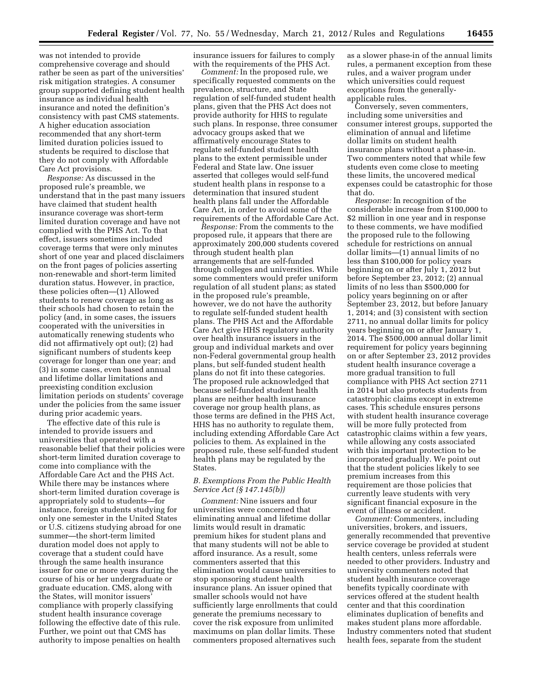was not intended to provide comprehensive coverage and should rather be seen as part of the universities' risk mitigation strategies. A consumer group supported defining student health insurance as individual health insurance and noted the definition's consistency with past CMS statements. A higher education association recommended that any short-term limited duration policies issued to students be required to disclose that they do not comply with Affordable Care Act provisions.

*Response:* As discussed in the proposed rule's preamble, we understand that in the past many issuers have claimed that student health insurance coverage was short-term limited duration coverage and have not complied with the PHS Act. To that effect, issuers sometimes included coverage terms that were only minutes short of one year and placed disclaimers on the front pages of policies asserting non-renewable and short-term limited duration status. However, in practice, these policies often—(1) Allowed students to renew coverage as long as their schools had chosen to retain the policy (and, in some cases, the issuers cooperated with the universities in automatically renewing students who did not affirmatively opt out); (2) had significant numbers of students keep coverage for longer than one year; and (3) in some cases, even based annual and lifetime dollar limitations and preexisting condition exclusion limitation periods on students' coverage under the policies from the same issuer during prior academic years.

The effective date of this rule is intended to provide issuers and universities that operated with a reasonable belief that their policies were short-term limited duration coverage to come into compliance with the Affordable Care Act and the PHS Act. While there may be instances where short-term limited duration coverage is appropriately sold to students—for instance, foreign students studying for only one semester in the United States or U.S. citizens studying abroad for one summer—the short-term limited duration model does not apply to coverage that a student could have through the same health insurance issuer for one or more years during the course of his or her undergraduate or graduate education. CMS, along with the States, will monitor issuers' compliance with properly classifying student health insurance coverage following the effective date of this rule. Further, we point out that CMS has authority to impose penalties on health

insurance issuers for failures to comply with the requirements of the PHS Act.

*Comment:* In the proposed rule, we specifically requested comments on the prevalence, structure, and State regulation of self-funded student health plans, given that the PHS Act does not provide authority for HHS to regulate such plans. In response, three consumer advocacy groups asked that we affirmatively encourage States to regulate self-funded student health plans to the extent permissible under Federal and State law. One issuer asserted that colleges would self-fund student health plans in response to a determination that insured student health plans fall under the Affordable Care Act, in order to avoid some of the requirements of the Affordable Care Act.

*Response:* From the comments to the proposed rule, it appears that there are approximately 200,000 students covered through student health plan arrangements that are self-funded through colleges and universities. While some commenters would prefer uniform regulation of all student plans; as stated in the proposed rule's preamble, however, we do not have the authority to regulate self-funded student health plans. The PHS Act and the Affordable Care Act give HHS regulatory authority over health insurance issuers in the group and individual markets and over non-Federal governmental group health plans, but self-funded student health plans do not fit into these categories. The proposed rule acknowledged that because self-funded student health plans are neither health insurance coverage nor group health plans, as those terms are defined in the PHS Act, HHS has no authority to regulate them, including extending Affordable Care Act policies to them. As explained in the proposed rule, these self-funded student health plans may be regulated by the States.

# *B. Exemptions From the Public Health Service Act (§ 147.145(b))*

*Comment:* Nine issuers and four universities were concerned that eliminating annual and lifetime dollar limits would result in dramatic premium hikes for student plans and that many students will not be able to afford insurance. As a result, some commenters asserted that this elimination would cause universities to stop sponsoring student health insurance plans. An issuer opined that smaller schools would not have sufficiently large enrollments that could generate the premiums necessary to cover the risk exposure from unlimited maximums on plan dollar limits. These commenters proposed alternatives such

as a slower phase-in of the annual limits rules, a permanent exception from these rules, and a waiver program under which universities could request exceptions from the generallyapplicable rules.

Conversely, seven commenters, including some universities and consumer interest groups, supported the elimination of annual and lifetime dollar limits on student health insurance plans without a phase-in. Two commenters noted that while few students even come close to meeting these limits, the uncovered medical expenses could be catastrophic for those that do.

*Response:* In recognition of the considerable increase from \$100,000 to \$2 million in one year and in response to these comments, we have modified the proposed rule to the following schedule for restrictions on annual dollar limits—(1) annual limits of no less than \$100,000 for policy years beginning on or after July 1, 2012 but before September 23, 2012; (2) annual limits of no less than \$500,000 for policy years beginning on or after September 23, 2012, but before January 1, 2014; and (3) consistent with section 2711, no annual dollar limits for policy years beginning on or after January 1, 2014. The \$500,000 annual dollar limit requirement for policy years beginning on or after September 23, 2012 provides student health insurance coverage a more gradual transition to full compliance with PHS Act section 2711 in 2014 but also protects students from catastrophic claims except in extreme cases. This schedule ensures persons with student health insurance coverage will be more fully protected from catastrophic claims within a few years, while allowing any costs associated with this important protection to be incorporated gradually. We point out that the student policies likely to see premium increases from this requirement are those policies that currently leave students with very significant financial exposure in the event of illness or accident.

*Comment:* Commenters, including universities, brokers, and issuers, generally recommended that preventive service coverage be provided at student health centers, unless referrals were needed to other providers. Industry and university commenters noted that student health insurance coverage benefits typically coordinate with services offered at the student health center and that this coordination eliminates duplication of benefits and makes student plans more affordable. Industry commenters noted that student health fees, separate from the student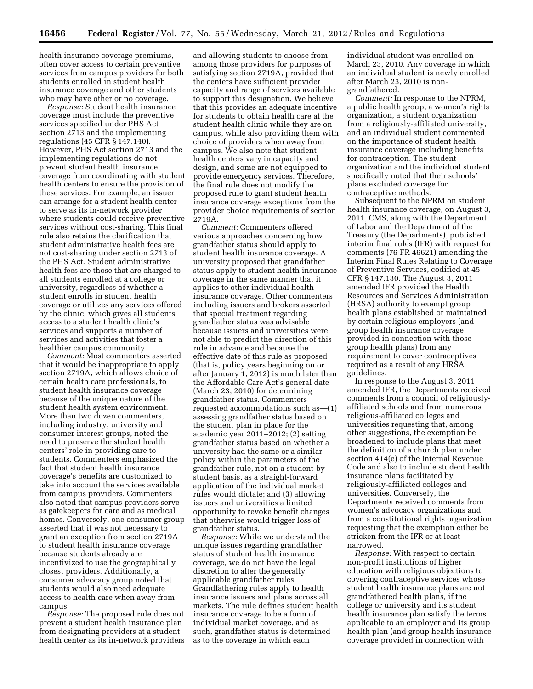health insurance coverage premiums, often cover access to certain preventive services from campus providers for both students enrolled in student health insurance coverage and other students who may have other or no coverage.

*Response:* Student health insurance coverage must include the preventive services specified under PHS Act section 2713 and the implementing regulations (45 CFR § 147.140). However, PHS Act section 2713 and the implementing regulations do not prevent student health insurance coverage from coordinating with student health centers to ensure the provision of these services. For example, an issuer can arrange for a student health center to serve as its in-network provider where students could receive preventive services without cost-sharing. This final rule also retains the clarification that student administrative health fees are not cost-sharing under section 2713 of the PHS Act. Student administrative health fees are those that are charged to all students enrolled at a college or university, regardless of whether a student enrolls in student health coverage or utilizes any services offered by the clinic, which gives all students access to a student health clinic's services and supports a number of services and activities that foster a healthier campus community.

*Comment:* Most commenters asserted that it would be inappropriate to apply section 2719A, which allows choice of certain health care professionals, to student health insurance coverage because of the unique nature of the student health system environment. More than two dozen commenters, including industry, university and consumer interest groups, noted the need to preserve the student health centers' role in providing care to students. Commenters emphasized the fact that student health insurance coverage's benefits are customized to take into account the services available from campus providers. Commenters also noted that campus providers serve as gatekeepers for care and as medical homes. Conversely, one consumer group asserted that it was not necessary to grant an exception from section 2719A to student health insurance coverage because students already are incentivized to use the geographically closest providers. Additionally, a consumer advocacy group noted that students would also need adequate access to health care when away from campus.

*Response:* The proposed rule does not prevent a student health insurance plan from designating providers at a student health center as its in-network providers

and allowing students to choose from among those providers for purposes of satisfying section 2719A, provided that the centers have sufficient provider capacity and range of services available to support this designation. We believe that this provides an adequate incentive for students to obtain health care at the student health clinic while they are on campus, while also providing them with choice of providers when away from campus. We also note that student health centers vary in capacity and design, and some are not equipped to provide emergency services. Therefore, the final rule does not modify the proposed rule to grant student health insurance coverage exceptions from the provider choice requirements of section 2719A.

*Comment:* Commenters offered various approaches concerning how grandfather status should apply to student health insurance coverage. A university proposed that grandfather status apply to student health insurance coverage in the same manner that it applies to other individual health insurance coverage. Other commenters including issuers and brokers asserted that special treatment regarding grandfather status was advisable because issuers and universities were not able to predict the direction of this rule in advance and because the effective date of this rule as proposed (that is, policy years beginning on or after January 1, 2012) is much later than the Affordable Care Act's general date (March 23, 2010) for determining grandfather status. Commenters requested accommodations such as—(1) assessing grandfather status based on the student plan in place for the academic year 2011–2012; (2) setting grandfather status based on whether a university had the same or a similar policy within the parameters of the grandfather rule, not on a student-bystudent basis, as a straight-forward application of the individual market rules would dictate; and (3) allowing issuers and universities a limited opportunity to revoke benefit changes that otherwise would trigger loss of grandfather status.

*Response:* While we understand the unique issues regarding grandfather status of student health insurance coverage, we do not have the legal discretion to alter the generally applicable grandfather rules. Grandfathering rules apply to health insurance issuers and plans across all markets. The rule defines student health insurance coverage to be a form of individual market coverage, and as such, grandfather status is determined as to the coverage in which each

individual student was enrolled on March 23, 2010. Any coverage in which an individual student is newly enrolled after March 23, 2010 is nongrandfathered.

*Comment:* In response to the NPRM, a public health group, a women's rights organization, a student organization from a religiously-affiliated university, and an individual student commented on the importance of student health insurance coverage including benefits for contraception. The student organization and the individual student specifically noted that their schools' plans excluded coverage for contraceptive methods.

Subsequent to the NPRM on student health insurance coverage, on August 3, 2011, CMS, along with the Department of Labor and the Department of the Treasury (the Departments), published interim final rules (IFR) with request for comments (76 FR 46621) amending the Interim Final Rules Relating to Coverage of Preventive Services, codified at 45 CFR § 147.130. The August 3, 2011 amended IFR provided the Health Resources and Services Administration (HRSA) authority to exempt group health plans established or maintained by certain religious employers (and group health insurance coverage provided in connection with those group health plans) from any requirement to cover contraceptives required as a result of any HRSA guidelines.

In response to the August 3, 2011 amended IFR, the Departments received comments from a council of religiouslyaffiliated schools and from numerous religious-affiliated colleges and universities requesting that, among other suggestions, the exemption be broadened to include plans that meet the definition of a church plan under section 414(e) of the Internal Revenue Code and also to include student health insurance plans facilitated by religiously-affiliated colleges and universities. Conversely, the Departments received comments from women's advocacy organizations and from a constitutional rights organization requesting that the exemption either be stricken from the IFR or at least narrowed.

*Response:* With respect to certain non-profit institutions of higher education with religious objections to covering contraceptive services whose student health insurance plans are not grandfathered health plans, if the college or university and its student health insurance plan satisfy the terms applicable to an employer and its group health plan (and group health insurance coverage provided in connection with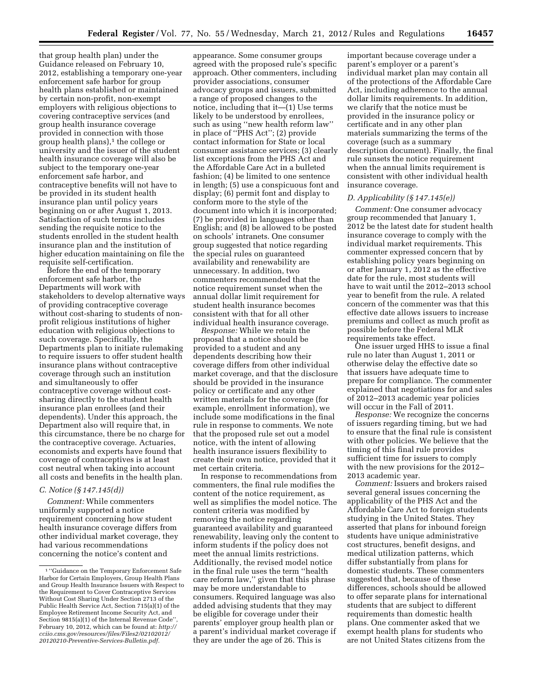that group health plan) under the Guidance released on February 10, 2012, establishing a temporary one-year enforcement safe harbor for group health plans established or maintained by certain non-profit, non-exempt employers with religious objections to covering contraceptive services (and group health insurance coverage provided in connection with those group health plans), $<sup>1</sup>$  the college or</sup> university and the issuer of the student health insurance coverage will also be subject to the temporary one-year enforcement safe harbor, and contraceptive benefits will not have to be provided in its student health insurance plan until policy years beginning on or after August 1, 2013. Satisfaction of such terms includes sending the requisite notice to the students enrolled in the student health insurance plan and the institution of higher education maintaining on file the requisite self-certification.

Before the end of the temporary enforcement safe harbor, the Departments will work with stakeholders to develop alternative ways of providing contraceptive coverage without cost-sharing to students of nonprofit religious institutions of higher education with religious objections to such coverage. Specifically, the Departments plan to initiate rulemaking to require issuers to offer student health insurance plans without contraceptive coverage through such an institution and simultaneously to offer contraceptive coverage without costsharing directly to the student health insurance plan enrollees (and their dependents). Under this approach, the Department also will require that, in this circumstance, there be no charge for the contraceptive coverage. Actuaries, economists and experts have found that coverage of contraceptives is at least cost neutral when taking into account all costs and benefits in the health plan.

### *C. Notice (§ 147.145(d))*

*Comment:* While commenters uniformly supported a notice requirement concerning how student health insurance coverage differs from other individual market coverage, they had various recommendations concerning the notice's content and

appearance. Some consumer groups agreed with the proposed rule's specific approach. Other commenters, including provider associations, consumer advocacy groups and issuers, submitted a range of proposed changes to the notice, including that it—(1) Use terms likely to be understood by enrollees, such as using ''new health reform law'' in place of ''PHS Act''; (2) provide contact information for State or local consumer assistance services; (3) clearly list exceptions from the PHS Act and the Affordable Care Act in a bulleted fashion; (4) be limited to one sentence in length; (5) use a conspicuous font and display; (6) permit font and display to conform more to the style of the document into which it is incorporated; (7) be provided in languages other than English; and (8) be allowed to be posted on schools' intranets. One consumer group suggested that notice regarding the special rules on guaranteed availability and renewability are unnecessary. In addition, two commenters recommended that the notice requirement sunset when the annual dollar limit requirement for student health insurance becomes consistent with that for all other individual health insurance coverage.

*Response:* While we retain the proposal that a notice should be provided to a student and any dependents describing how their coverage differs from other individual market coverage, and that the disclosure should be provided in the insurance policy or certificate and any other written materials for the coverage (for example, enrollment information), we include some modifications in the final rule in response to comments. We note that the proposed rule set out a model notice, with the intent of allowing health insurance issuers flexibility to create their own notice, provided that it met certain criteria.

In response to recommendations from commenters, the final rule modifies the content of the notice requirement, as well as simplifies the model notice. The content criteria was modified by removing the notice regarding guaranteed availability and guaranteed renewability, leaving only the content to inform students if the policy does not meet the annual limits restrictions. Additionally, the revised model notice in the final rule uses the term ''health care reform law,'' given that this phrase may be more understandable to consumers. Required language was also added advising students that they may be eligible for coverage under their parents' employer group health plan or a parent's individual market coverage if they are under the age of 26. This is

important because coverage under a parent's employer or a parent's individual market plan may contain all of the protections of the Affordable Care Act, including adherence to the annual dollar limits requirements. In addition, we clarify that the notice must be provided in the insurance policy or certificate and in any other plan materials summarizing the terms of the coverage (such as a summary description document). Finally, the final rule sunsets the notice requirement when the annual limits requirement is consistent with other individual health insurance coverage.

### *D. Applicability (§ 147.145(e))*

*Comment:* One consumer advocacy group recommended that January 1, 2012 be the latest date for student health insurance coverage to comply with the individual market requirements. This commenter expressed concern that by establishing policy years beginning on or after January 1, 2012 as the effective date for the rule, most students will have to wait until the 2012–2013 school year to benefit from the rule. A related concern of the commenter was that this effective date allows issuers to increase premiums and collect as much profit as possible before the Federal MLR requirements take effect.

One issuer urged HHS to issue a final rule no later than August 1, 2011 or otherwise delay the effective date so that issuers have adequate time to prepare for compliance. The commenter explained that negotiations for and sales of 2012–2013 academic year policies will occur in the Fall of 2011.

*Response:* We recognize the concerns of issuers regarding timing, but we had to ensure that the final rule is consistent with other policies. We believe that the timing of this final rule provides sufficient time for issuers to comply with the new provisions for the 2012– 2013 academic year.

*Comment:* Issuers and brokers raised several general issues concerning the applicability of the PHS Act and the Affordable Care Act to foreign students studying in the United States. They asserted that plans for inbound foreign students have unique administrative cost structures, benefit designs, and medical utilization patterns, which differ substantially from plans for domestic students. These commenters suggested that, because of these differences, schools should be allowed to offer separate plans for international students that are subject to different requirements than domestic health plans. One commenter asked that we exempt health plans for students who are not United States citizens from the

<sup>1</sup> ''Guidance on the Temporary Enforcement Safe Harbor for Certain Employers, Group Health Plans and Group Health Insurance Issuers with Respect to the Requirement to Cover Contraceptive Services Without Cost Sharing Under Section 2713 of the Public Health Service Act, Section 715(a)(1) of the Employee Retirement Income Security Act, and Section 9815(a)(1) of the Internal Revenue Code' February 10, 2012, which can be found at: *http:// [cciio.cms.gov/resources/files/Files2/02102012/](http://cciio.cms.gov/resources/files/Files2/02102012/20120210-Preventive-Services-Bulletin.pdf)  20120210-Preventive-Services-Bulletin.pdf.*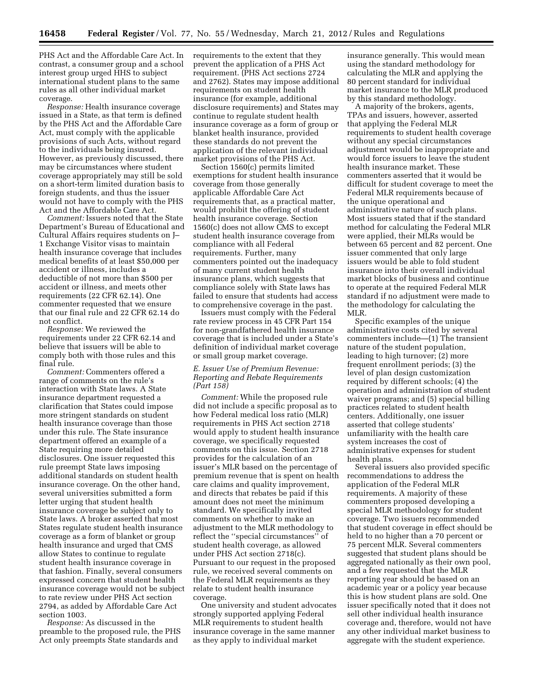PHS Act and the Affordable Care Act. In contrast, a consumer group and a school interest group urged HHS to subject international student plans to the same rules as all other individual market coverage.

*Response:* Health insurance coverage issued in a State, as that term is defined by the PHS Act and the Affordable Care Act, must comply with the applicable provisions of such Acts, without regard to the individuals being insured. However, as previously discussed, there may be circumstances where student coverage appropriately may still be sold on a short-term limited duration basis to foreign students, and thus the issuer would not have to comply with the PHS Act and the Affordable Care Act.

*Comment:* Issuers noted that the State Department's Bureau of Educational and Cultural Affairs requires students on J– 1 Exchange Visitor visas to maintain health insurance coverage that includes medical benefits of at least \$50,000 per accident or illness, includes a deductible of not more than \$500 per accident or illness, and meets other requirements (22 CFR 62.14). One commenter requested that we ensure that our final rule and 22 CFR 62.14 do not conflict.

*Response:* We reviewed the requirements under 22 CFR 62.14 and believe that issuers will be able to comply both with those rules and this final rule.

*Comment:* Commenters offered a range of comments on the rule's interaction with State laws. A State insurance department requested a clarification that States could impose more stringent standards on student health insurance coverage than those under this rule. The State insurance department offered an example of a State requiring more detailed disclosures. One issuer requested this rule preempt State laws imposing additional standards on student health insurance coverage. On the other hand, several universities submitted a form letter urging that student health insurance coverage be subject only to State laws. A broker asserted that most States regulate student health insurance coverage as a form of blanket or group health insurance and urged that CMS allow States to continue to regulate student health insurance coverage in that fashion. Finally, several consumers expressed concern that student health insurance coverage would not be subject to rate review under PHS Act section 2794, as added by Affordable Care Act section 1003.

*Response:* As discussed in the preamble to the proposed rule, the PHS Act only preempts State standards and

requirements to the extent that they prevent the application of a PHS Act requirement. (PHS Act sections 2724 and 2762). States may impose additional requirements on student health insurance (for example, additional disclosure requirements) and States may continue to regulate student health insurance coverage as a form of group or blanket health insurance, provided these standards do not prevent the application of the relevant individual market provisions of the PHS Act.

Section 1560(c) permits limited exemptions for student health insurance coverage from those generally applicable Affordable Care Act requirements that, as a practical matter, would prohibit the offering of student health insurance coverage. Section 1560(c) does not allow CMS to except student health insurance coverage from compliance with all Federal requirements. Further, many commenters pointed out the inadequacy of many current student health insurance plans, which suggests that compliance solely with State laws has failed to ensure that students had access to comprehensive coverage in the past.

Issuers must comply with the Federal rate review process in 45 CFR Part 154 for non-grandfathered health insurance coverage that is included under a State's definition of individual market coverage or small group market coverage.

# *E. Issuer Use of Premium Revenue: Reporting and Rebate Requirements (Part 158)*

*Comment:* While the proposed rule did not include a specific proposal as to how Federal medical loss ratio (MLR) requirements in PHS Act section 2718 would apply to student health insurance coverage, we specifically requested comments on this issue. Section 2718 provides for the calculation of an issuer's MLR based on the percentage of premium revenue that is spent on health care claims and quality improvement, and directs that rebates be paid if this amount does not meet the minimum standard. We specifically invited comments on whether to make an adjustment to the MLR methodology to reflect the ''special circumstances'' of student health coverage, as allowed under PHS Act section 2718(c). Pursuant to our request in the proposed rule, we received several comments on the Federal MLR requirements as they relate to student health insurance coverage.

One university and student advocates strongly supported applying Federal MLR requirements to student health insurance coverage in the same manner as they apply to individual market

insurance generally. This would mean using the standard methodology for calculating the MLR and applying the 80 percent standard for individual market insurance to the MLR produced by this standard methodology.

A majority of the brokers, agents, TPAs and issuers, however, asserted that applying the Federal MLR requirements to student health coverage without any special circumstances adjustment would be inappropriate and would force issuers to leave the student health insurance market. These commenters asserted that it would be difficult for student coverage to meet the Federal MLR requirements because of the unique operational and administrative nature of such plans. Most issuers stated that if the standard method for calculating the Federal MLR were applied, their MLRs would be between 65 percent and 82 percent. One issuer commented that only large issuers would be able to fold student insurance into their overall individual market blocks of business and continue to operate at the required Federal MLR standard if no adjustment were made to the methodology for calculating the MLR.

Specific examples of the unique administrative costs cited by several commenters include—(1) The transient nature of the student population, leading to high turnover; (2) more frequent enrollment periods; (3) the level of plan design customization required by different schools; (4) the operation and administration of student waiver programs; and (5) special billing practices related to student health centers. Additionally, one issuer asserted that college students' unfamiliarity with the health care system increases the cost of administrative expenses for student health plans.

Several issuers also provided specific recommendations to address the application of the Federal MLR requirements. A majority of these commenters proposed developing a special MLR methodology for student coverage. Two issuers recommended that student coverage in effect should be held to no higher than a 70 percent or 75 percent MLR. Several commenters suggested that student plans should be aggregated nationally as their own pool, and a few requested that the MLR reporting year should be based on an academic year or a policy year because this is how student plans are sold. One issuer specifically noted that it does not sell other individual health insurance coverage and, therefore, would not have any other individual market business to aggregate with the student experience.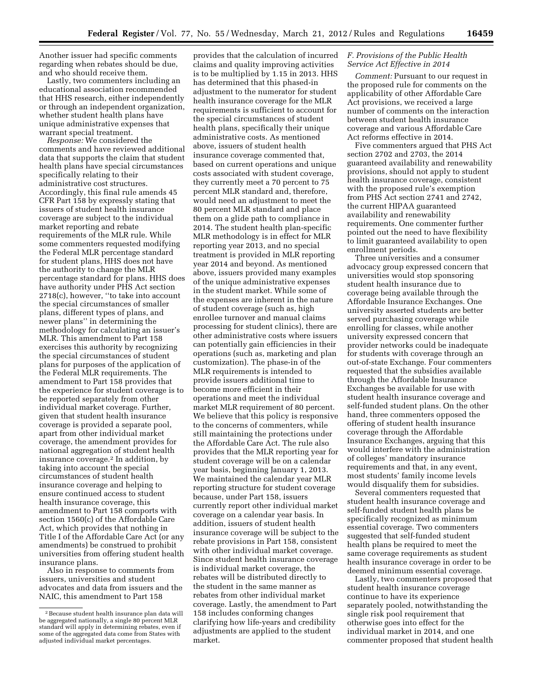Another issuer had specific comments regarding when rebates should be due, and who should receive them.

Lastly, two commenters including an educational association recommended that HHS research, either independently or through an independent organization, whether student health plans have unique administrative expenses that warrant special treatment.

*Response:* We considered the comments and have reviewed additional data that supports the claim that student health plans have special circumstances specifically relating to their administrative cost structures. Accordingly, this final rule amends 45 CFR Part 158 by expressly stating that issuers of student health insurance coverage are subject to the individual market reporting and rebate requirements of the MLR rule. While some commenters requested modifying the Federal MLR percentage standard for student plans, HHS does not have the authority to change the MLR percentage standard for plans. HHS does have authority under PHS Act section 2718(c), however, ''to take into account the special circumstances of smaller plans, different types of plans, and newer plans'' in determining the methodology for calculating an issuer's MLR. This amendment to Part 158 exercises this authority by recognizing the special circumstances of student plans for purposes of the application of the Federal MLR requirements. The amendment to Part 158 provides that the experience for student coverage is to be reported separately from other individual market coverage. Further, given that student health insurance coverage is provided a separate pool, apart from other individual market coverage, the amendment provides for national aggregation of student health insurance coverage.2 In addition, by taking into account the special circumstances of student health insurance coverage and helping to ensure continued access to student health insurance coverage, this amendment to Part 158 comports with section 1560(c) of the Affordable Care Act, which provides that nothing in Title I of the Affordable Care Act (or any amendments) be construed to prohibit universities from offering student health insurance plans.

Also in response to comments from issuers, universities and student advocates and data from issuers and the NAIC, this amendment to Part 158

provides that the calculation of incurred claims and quality improving activities is to be multiplied by 1.15 in 2013. HHS has determined that this phased-in adjustment to the numerator for student health insurance coverage for the MLR requirements is sufficient to account for the special circumstances of student health plans, specifically their unique administrative costs. As mentioned above, issuers of student health insurance coverage commented that, based on current operations and unique costs associated with student coverage, they currently meet a 70 percent to 75 percent MLR standard and, therefore, would need an adjustment to meet the 80 percent MLR standard and place them on a glide path to compliance in 2014. The student health plan-specific MLR methodology is in effect for MLR reporting year 2013, and no special treatment is provided in MLR reporting year 2014 and beyond. As mentioned above, issuers provided many examples of the unique administrative expenses in the student market. While some of the expenses are inherent in the nature of student coverage (such as, high enrollee turnover and manual claims processing for student clinics), there are other administrative costs where issuers can potentially gain efficiencies in their operations (such as, marketing and plan customization). The phase-in of the MLR requirements is intended to provide issuers additional time to become more efficient in their operations and meet the individual market MLR requirement of 80 percent. We believe that this policy is responsive to the concerns of commenters, while still maintaining the protections under the Affordable Care Act. The rule also provides that the MLR reporting year for student coverage will be on a calendar year basis, beginning January 1, 2013. We maintained the calendar year MLR reporting structure for student coverage because, under Part 158, issuers currently report other individual market coverage on a calendar year basis. In addition, issuers of student health insurance coverage will be subject to the rebate provisions in Part 158, consistent with other individual market coverage. Since student health insurance coverage is individual market coverage, the rebates will be distributed directly to the student in the same manner as rebates from other individual market coverage. Lastly, the amendment to Part 158 includes conforming changes clarifying how life-years and credibility adjustments are applied to the student market.

# *F. Provisions of the Public Health Service Act Effective in 2014*

*Comment:* Pursuant to our request in the proposed rule for comments on the applicability of other Affordable Care Act provisions, we received a large number of comments on the interaction between student health insurance coverage and various Affordable Care Act reforms effective in 2014.

Five commenters argued that PHS Act section 2702 and 2703, the 2014 guaranteed availability and renewability provisions, should not apply to student health insurance coverage, consistent with the proposed rule's exemption from PHS Act section 2741 and 2742, the current HIPAA guaranteed availability and renewability requirements. One commenter further pointed out the need to have flexibility to limit guaranteed availability to open enrollment periods.

Three universities and a consumer advocacy group expressed concern that universities would stop sponsoring student health insurance due to coverage being available through the Affordable Insurance Exchanges. One university asserted students are better served purchasing coverage while enrolling for classes, while another university expressed concern that provider networks could be inadequate for students with coverage through an out-of-state Exchange. Four commenters requested that the subsidies available through the Affordable Insurance Exchanges be available for use with student health insurance coverage and self-funded student plans. On the other hand, three commenters opposed the offering of student health insurance coverage through the Affordable Insurance Exchanges, arguing that this would interfere with the administration of colleges' mandatory insurance requirements and that, in any event, most students' family income levels would disqualify them for subsidies.

Several commenters requested that student health insurance coverage and self-funded student health plans be specifically recognized as minimum essential coverage. Two commenters suggested that self-funded student health plans be required to meet the same coverage requirements as student health insurance coverage in order to be deemed minimum essential coverage.

Lastly, two commenters proposed that student health insurance coverage continue to have its experience separately pooled, notwithstanding the single risk pool requirement that otherwise goes into effect for the individual market in 2014, and one commenter proposed that student health

<sup>2</sup>Because student health insurance plan data will be aggregated nationally, a single 80 percent MLR standard will apply in determining rebates, even if some of the aggregated data come from States with adjusted individual market percentages.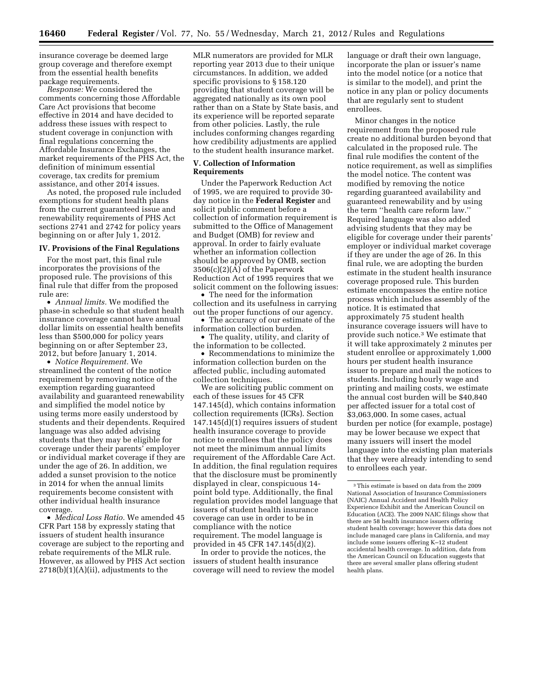insurance coverage be deemed large group coverage and therefore exempt from the essential health benefits package requirements.

*Response:* We considered the comments concerning those Affordable Care Act provisions that become effective in 2014 and have decided to address these issues with respect to student coverage in conjunction with final regulations concerning the Affordable Insurance Exchanges, the market requirements of the PHS Act, the definition of minimum essential coverage, tax credits for premium assistance, and other 2014 issues.

As noted, the proposed rule included exemptions for student health plans from the current guaranteed issue and renewability requirements of PHS Act sections 2741 and 2742 for policy years beginning on or after July 1, 2012.

### **IV. Provisions of the Final Regulations**

For the most part, this final rule incorporates the provisions of the proposed rule. The provisions of this final rule that differ from the proposed rule are:

• *Annual limits.* We modified the phase-in schedule so that student health insurance coverage cannot have annual dollar limits on essential health benefits less than \$500,000 for policy years beginning on or after September 23, 2012, but before January 1, 2014.

• *Notice Requirement.* We streamlined the content of the notice requirement by removing notice of the exemption regarding guaranteed availability and guaranteed renewability and simplified the model notice by using terms more easily understood by students and their dependents. Required language was also added advising students that they may be eligible for coverage under their parents' employer or individual market coverage if they are under the age of 26. In addition, we added a sunset provision to the notice in 2014 for when the annual limits requirements become consistent with other individual health insurance coverage.

• *Medical Loss Ratio.* We amended 45 CFR Part 158 by expressly stating that issuers of student health insurance coverage are subject to the reporting and rebate requirements of the MLR rule. However, as allowed by PHS Act section  $2718(b)(1)(A)(ii)$ , adjustments to the

MLR numerators are provided for MLR reporting year 2013 due to their unique circumstances. In addition, we added specific provisions to § 158.120 providing that student coverage will be aggregated nationally as its own pool rather than on a State by State basis, and its experience will be reported separate from other policies. Lastly, the rule includes conforming changes regarding how credibility adjustments are applied to the student health insurance market.

# **V. Collection of Information Requirements**

Under the Paperwork Reduction Act of 1995, we are required to provide 30 day notice in the **Federal Register** and solicit public comment before a collection of information requirement is submitted to the Office of Management and Budget (OMB) for review and approval. In order to fairly evaluate whether an information collection should be approved by OMB, section 3506(c)(2)(A) of the Paperwork Reduction Act of 1995 requires that we solicit comment on the following issues:

• The need for the information collection and its usefulness in carrying out the proper functions of our agency.

• The accuracy of our estimate of the information collection burden.

• The quality, utility, and clarity of the information to be collected.

• Recommendations to minimize the information collection burden on the affected public, including automated collection techniques.

We are soliciting public comment on each of these issues for 45 CFR 147.145(d), which contains information collection requirements (ICRs). Section 147.145(d)(1) requires issuers of student health insurance coverage to provide notice to enrollees that the policy does not meet the minimum annual limits requirement of the Affordable Care Act. In addition, the final regulation requires that the disclosure must be prominently displayed in clear, conspicuous 14 point bold type. Additionally, the final regulation provides model language that issuers of student health insurance coverage can use in order to be in compliance with the notice requirement. The model language is provided in 45 CFR 147.145(d)(2).

In order to provide the notices, the issuers of student health insurance coverage will need to review the model language or draft their own language, incorporate the plan or issuer's name into the model notice (or a notice that is similar to the model), and print the notice in any plan or policy documents that are regularly sent to student enrollees.

Minor changes in the notice requirement from the proposed rule create no additional burden beyond that calculated in the proposed rule. The final rule modifies the content of the notice requirement, as well as simplifies the model notice. The content was modified by removing the notice regarding guaranteed availability and guaranteed renewability and by using the term ''health care reform law.'' Required language was also added advising students that they may be eligible for coverage under their parents' employer or individual market coverage if they are under the age of 26. In this final rule, we are adopting the burden estimate in the student health insurance coverage proposed rule. This burden estimate encompasses the entire notice process which includes assembly of the notice. It is estimated that approximately 75 student health insurance coverage issuers will have to provide such notice.3 We estimate that it will take approximately 2 minutes per student enrollee or approximately 1,000 hours per student health insurance issuer to prepare and mail the notices to students. Including hourly wage and printing and mailing costs, we estimate the annual cost burden will be \$40,840 per affected issuer for a total cost of \$3,063,000. In some cases, actual burden per notice (for example, postage) may be lower because we expect that many issuers will insert the model language into the existing plan materials that they were already intending to send to enrollees each year.

<sup>3</sup>This estimate is based on data from the 2009 National Association of Insurance Commissioners (NAIC) Annual Accident and Health Policy Experience Exhibit and the American Council on Education (ACE). The 2009 NAIC filings show that there are 58 health insurance issuers offering student health coverage; however this data does not include managed care plans in California, and may include some issuers offering K–12 student accidental health coverage. In addition, data from the American Council on Education suggests that there are several smaller plans offering student health plans.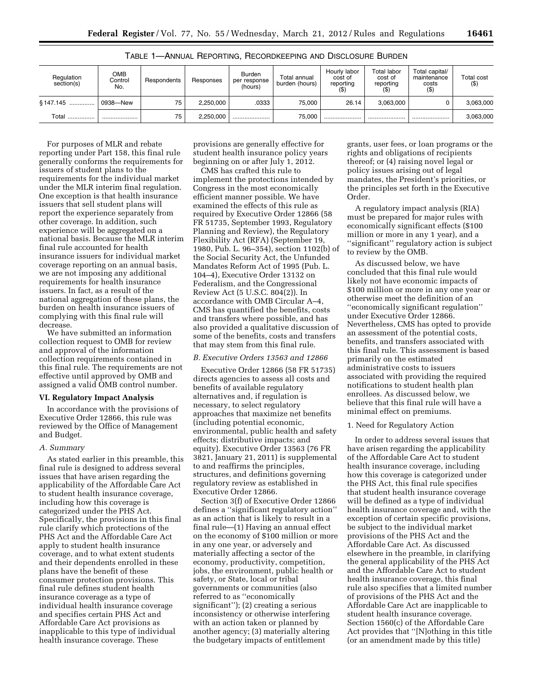| Regulation<br>section(s) | ОМВ<br>Control<br>No. | Respondents | Responses | Burden<br>per response<br>(hours) | Total annual<br>burden (hours) | Hourly labor<br>cost of<br>reporting | Total labor<br>cost of<br>reporting | Total capital/<br>maintenance<br>costs<br>$($ \$) | Total cost<br>$($ \$) |
|--------------------------|-----------------------|-------------|-----------|-----------------------------------|--------------------------------|--------------------------------------|-------------------------------------|---------------------------------------------------|-----------------------|
| \$147.145                | 0938—New              | 75          | 2.250.000 | .0333                             | 75.000                         | 26.14                                | 3.063.000                           |                                                   | 3,063,000             |
| Total                    |                       | 75          | 2.250.000 |                                   | 75.000                         |                                      |                                     |                                                   | 3,063,000             |

TABLE 1—ANNUAL REPORTING, RECORDKEEPING AND DISCLOSURE BURDEN

For purposes of MLR and rebate reporting under Part 158, this final rule generally conforms the requirements for issuers of student plans to the requirements for the individual market under the MLR interim final regulation. One exception is that health insurance issuers that sell student plans will report the experience separately from other coverage. In addition, such experience will be aggregated on a national basis. Because the MLR interim final rule accounted for health insurance issuers for individual market coverage reporting on an annual basis, we are not imposing any additional requirements for health insurance issuers. In fact, as a result of the national aggregation of these plans, the burden on health insurance issuers of complying with this final rule will decrease.

We have submitted an information collection request to OMB for review and approval of the information collection requirements contained in this final rule. The requirements are not effective until approved by OMB and assigned a valid OMB control number.

# **VI. Regulatory Impact Analysis**

In accordance with the provisions of Executive Order 12866, this rule was reviewed by the Office of Management and Budget.

### *A. Summary*

As stated earlier in this preamble, this final rule is designed to address several issues that have arisen regarding the applicability of the Affordable Care Act to student health insurance coverage, including how this coverage is categorized under the PHS Act. Specifically, the provisions in this final rule clarify which protections of the PHS Act and the Affordable Care Act apply to student health insurance coverage, and to what extent students and their dependents enrolled in these plans have the benefit of these consumer protection provisions. This final rule defines student health insurance coverage as a type of individual health insurance coverage and specifies certain PHS Act and Affordable Care Act provisions as inapplicable to this type of individual health insurance coverage. These

provisions are generally effective for student health insurance policy years beginning on or after July 1, 2012.

CMS has crafted this rule to implement the protections intended by Congress in the most economically efficient manner possible. We have examined the effects of this rule as required by Executive Order 12866 (58 FR 51735, September 1993, Regulatory Planning and Review), the Regulatory Flexibility Act (RFA) (September 19, 1980, Pub. L. 96–354), section 1102(b) of the Social Security Act, the Unfunded Mandates Reform Act of 1995 (Pub. L. 104–4), Executive Order 13132 on Federalism, and the Congressional Review Act (5 U.S.C. 804(2)). In accordance with OMB Circular A–4, CMS has quantified the benefits, costs and transfers where possible, and has also provided a qualitative discussion of some of the benefits, costs and transfers that may stem from this final rule.

# *B. Executive Orders 13563 and 12866*

Executive Order 12866 (58 FR 51735) directs agencies to assess all costs and benefits of available regulatory alternatives and, if regulation is necessary, to select regulatory approaches that maximize net benefits (including potential economic, environmental, public health and safety effects; distributive impacts; and equity). Executive Order 13563 (76 FR 3821, January 21, 2011) is supplemental to and reaffirms the principles, structures, and definitions governing regulatory review as established in Executive Order 12866.

Section 3(f) of Executive Order 12866 defines a ''significant regulatory action'' as an action that is likely to result in a final rule—(1) Having an annual effect on the economy of \$100 million or more in any one year, or adversely and materially affecting a sector of the economy, productivity, competition, jobs, the environment, public health or safety, or State, local or tribal governments or communities (also referred to as ''economically significant''); (2) creating a serious inconsistency or otherwise interfering with an action taken or planned by another agency; (3) materially altering the budgetary impacts of entitlement

grants, user fees, or loan programs or the rights and obligations of recipients thereof; or (4) raising novel legal or policy issues arising out of legal mandates, the President's priorities, or the principles set forth in the Executive Order.

A regulatory impact analysis (RIA) must be prepared for major rules with economically significant effects (\$100 million or more in any 1 year), and a ''significant'' regulatory action is subject to review by the OMB.

As discussed below, we have concluded that this final rule would likely not have economic impacts of \$100 million or more in any one year or otherwise meet the definition of an ''economically significant regulation'' under Executive Order 12866. Nevertheless, CMS has opted to provide an assessment of the potential costs, benefits, and transfers associated with this final rule. This assessment is based primarily on the estimated administrative costs to issuers associated with providing the required notifications to student health plan enrollees. As discussed below, we believe that this final rule will have a minimal effect on premiums.

### 1. Need for Regulatory Action

In order to address several issues that have arisen regarding the applicability of the Affordable Care Act to student health insurance coverage, including how this coverage is categorized under the PHS Act, this final rule specifies that student health insurance coverage will be defined as a type of individual health insurance coverage and, with the exception of certain specific provisions, be subject to the individual market provisions of the PHS Act and the Affordable Care Act. As discussed elsewhere in the preamble, in clarifying the general applicability of the PHS Act and the Affordable Care Act to student health insurance coverage, this final rule also specifies that a limited number of provisions of the PHS Act and the Affordable Care Act are inapplicable to student health insurance coverage. Section 1560(c) of the Affordable Care Act provides that ''[N]othing in this title (or an amendment made by this title)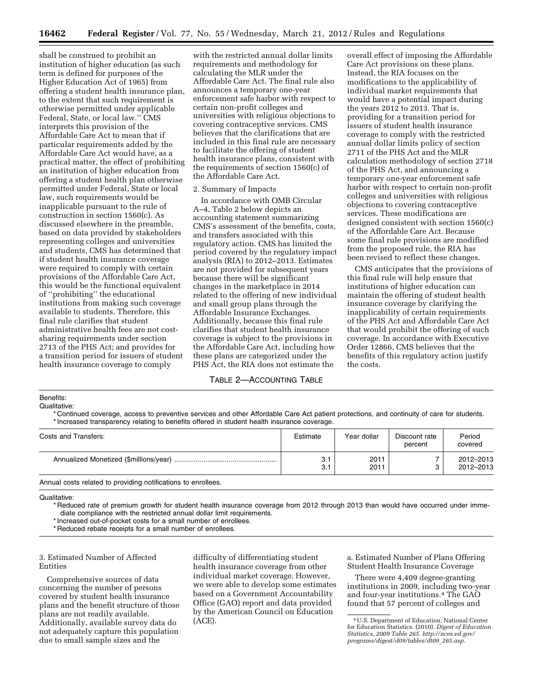shall be construed to prohibit an institution of higher education (as such term is defined for purposes of the Higher Education Act of 1965) from offering a student health insurance plan, to the extent that such requirement is otherwise permitted under applicable Federal, State, or local law.'' CMS interprets this provision of the Affordable Care Act to mean that if particular requirements added by the Affordable Care Act would have, as a practical matter, the effect of prohibiting an institution of higher education from offering a student health plan otherwise permitted under Federal, State or local law, such requirements would be inapplicable pursuant to the rule of construction in section 1560(c). As discussed elsewhere in the preamble, based on data provided by stakeholders representing colleges and universities and students, CMS has determined that if student health insurance coverage were required to comply with certain provisions of the Affordable Care Act, this would be the functional equivalent of ''prohibiting'' the educational institutions from making such coverage available to students. Therefore, this final rule clarifies that student administrative health fees are not costsharing requirements under section 2713 of the PHS Act; and provides for a transition period for issuers of student health insurance coverage to comply

with the restricted annual dollar limits requirements and methodology for calculating the MLR under the Affordable Care Act. The final rule also announces a temporary one-year enforcement safe harbor with respect to certain non-profit colleges and universities with religious objections to covering contraceptive services. CMS believes that the clarifications that are included in this final rule are necessary to facilitate the offering of student health insurance plans, consistent with the requirements of section 1560(c) of the Affordable Care Act.

### 2. Summary of Impacts

In accordance with OMB Circular A–4, Table 2 below depicts an accounting statement summarizing CMS's assessment of the benefits, costs, and transfers associated with this regulatory action. CMS has limited the period covered by the regulatory impact analysis (RIA) to 2012–2013. Estimates are not provided for subsequent years because there will be significant changes in the marketplace in 2014 related to the offering of new individual and small group plans through the Affordable Insurance Exchanges. Additionally, because this final rule clarifies that student health insurance coverage is subject to the provisions in the Affordable Care Act, including how these plans are categorized under the PHS Act, the RIA does not estimate the

### TABLE 2—ACCOUNTING TABLE

overall effect of imposing the Affordable Care Act provisions on these plans. Instead, the RIA focuses on the modifications to the applicability of individual market requirements that would have a potential impact during the years 2012 to 2013. That is, providing for a transition period for issuers of student health insurance coverage to comply with the restricted annual dollar limits policy of section 2711 of the PHS Act and the MLR calculation methodology of section 2718 of the PHS Act, and announcing a temporary one-year enforcement safe harbor with respect to certain non-profit colleges and universities with religious objections to covering contraceptive services. These modifications are designed consistent with section 1560(c) of the Affordable Care Act. Because some final rule provisions are modified from the proposed rule, the RIA has been revised to reflect these changes.

CMS anticipates that the provisions of this final rule will help ensure that institutions of higher education can maintain the offering of student health insurance coverage by clarifying the inapplicability of certain requirements of the PHS Act and Affordable Care Act that would prohibit the offering of such coverage. In accordance with Executive Order 12866, CMS believes that the benefits of this regulatory action justify the costs.

### Benefits:

Qualitative:

\* Continued coverage, access to preventive services and other Affordable Care Act patient protections, and continuity of care for students. \* Increased transparency relating to benefits offered in student health insurance coverage.

| Costs and Transfers:                                          | Estimate   | Year dollar  | Discount rate<br>percent | Period<br>covered      |
|---------------------------------------------------------------|------------|--------------|--------------------------|------------------------|
|                                                               | 3.1<br>3.1 | 2011<br>2011 |                          | 2012-2013<br>2012-2013 |
| Annual costs related to providing notifications to enrollees. |            |              |                          |                        |

Qualitative:

\* Reduced rate of premium growth for student health insurance coverage from 2012 through 2013 than would have occurred under immediate compliance with the restricted annual dollar limit requirements.

\* Increased out-of-pocket costs for a small number of enrollees.

\* Reduced rebate receipts for a small number of enrollees.

# 3. Estimated Number of Affected Entities

Comprehensive sources of data concerning the number of persons covered by student health insurance plans and the benefit structure of those plans are not readily available. Additionally, available survey data do not adequately capture this population due to small sample sizes and the

difficulty of differentiating student health insurance coverage from other individual market coverage. However, we were able to develop some estimates based on a Government Accountability Office (GAO) report and data provided by the American Council on Education (ACE).

a. Estimated Number of Plans Offering Student Health Insurance Coverage

There were 4,409 degree-granting institutions in 2009, including two-year and four-year institutions.4 The GAO found that 57 percent of colleges and

<sup>4</sup>U.S. Department of Education, National Center for Education Statistics. (2010). *Digest of Education [Statistics, 2009 Table 265. http://nces.ed.gov/](http://nces.ed.gov/programs/digest/d09/tables/dt09_265.asp)  programs/digest/d09/tables/dt09*\_*265.asp.*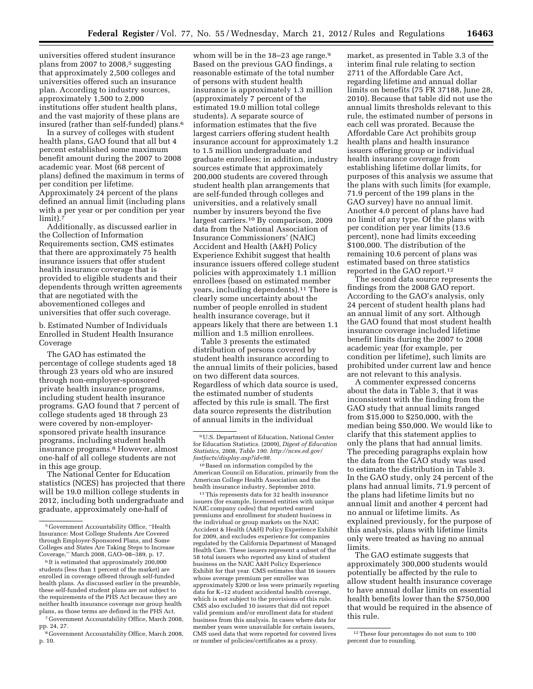universities offered student insurance plans from 2007 to  $2008<sup>5</sup>$  suggesting that approximately 2,500 colleges and universities offered such an insurance plan. According to industry sources, approximately 1,500 to 2,000 institutions offer student health plans, and the vast majority of these plans are insured (rather than self-funded) plans.6

In a survey of colleges with student health plans, GAO found that all but 4 percent established some maximum benefit amount during the 2007 to 2008 academic year. Most (68 percent of plans) defined the maximum in terms of per condition per lifetime. Approximately 24 percent of the plans defined an annual limit (including plans with a per year or per condition per year  $limit$ ).<sup>7</sup>

Additionally, as discussed earlier in the Collection of Information Requirements section, CMS estimates that there are approximately 75 health insurance issuers that offer student health insurance coverage that is provided to eligible students and their dependents through written agreements that are negotiated with the abovementioned colleges and universities that offer such coverage.

b. Estimated Number of Individuals Enrolled in Student Health Insurance Coverage

The GAO has estimated the percentage of college students aged 18 through 23 years old who are insured through non-employer-sponsored private health insurance programs, including student health insurance programs. GAO found that 7 percent of college students aged 18 through 23 were covered by non-employersponsored private health insurance programs, including student health insurance programs.8 However, almost one-half of all college students are not in this age group.

The National Center for Education statistics (NCES) has projected that there will be 19.0 million college students in 2012, including both undergraduate and graduate, approximately one-half of

whom will be in the  $18-23$  age range.<sup>9</sup> Based on the previous GAO findings, a reasonable estimate of the total number of persons with student health insurance is approximately 1.3 million (approximately 7 percent of the estimated 19.0 million total college students). A separate source of information estimates that the five largest carriers offering student health insurance account for approximately 1.2 to 1.5 million undergraduate and graduate enrollees; in addition, industry sources estimate that approximately 200,000 students are covered through student health plan arrangements that are self-funded through colleges and universities, and a relatively small number by insurers beyond the five largest carriers.10 By comparison, 2009 data from the National Association of Insurance Commissioners' (NAIC) Accident and Health (A&H) Policy Experience Exhibit suggest that health insurance issuers offered college student policies with approximately 1.1 million enrollees (based on estimated member years, including dependents).11 There is clearly some uncertainty about the number of people enrolled in student health insurance coverage, but it appears likely that there are between 1.1 million and 1.5 million enrollees.

Table 3 presents the estimated distribution of persons covered by student health insurance according to the annual limits of their policies, based on two different data sources. Regardless of which data source is used, the estimated number of students affected by this rule is small. The first data source represents the distribution of annual limits in the individual

10Based on information compiled by the American Council on Education, primarily from the American College Health Association and the health insurance industry, September 2010.

11This represents data for 32 health insurance issuers (for example, licensed entities with unique NAIC company codes) that reported earned premiums and enrollment for student business in the individual or group markets on the NAIC Accident & Health (A&H) Policy Experience Exhibit for 2009, and excludes experience for companies regulated by the California Department of Managed Health Care. These issuers represent a subset of the 58 total issuers who reported any kind of student business on the NAIC A&H Policy Experience Exhibit for that year. CMS estimates that 16 issuers whose average premium per enrollee was approximately \$200 or less were primarily reporting data for K–12 student accidental health coverage, which is not subject to the provisions of this rule. CMS also excluded 10 issuers that did not report valid premium and/or enrollment data for student business from this analysis. In cases where data for member years were unavailable for certain issuers, CMS used data that were reported for covered lives or number of policies/certificates as a proxy.

market, as presented in Table 3.3 of the interim final rule relating to section 2711 of the Affordable Care Act, regarding lifetime and annual dollar limits on benefits (75 FR 37188, June 28, 2010). Because that table did not use the annual limits thresholds relevant to this rule, the estimated number of persons in each cell was prorated. Because the Affordable Care Act prohibits group health plans and health insurance issuers offering group or individual health insurance coverage from establishing lifetime dollar limits, for purposes of this analysis we assume that the plans with such limits (for example, 71.9 percent of the 199 plans in the GAO survey) have no annual limit. Another 4.0 percent of plans have had no limit of any type. Of the plans with per condition per year limits (13.6 percent), none had limits exceeding \$100,000. The distribution of the remaining 10.6 percent of plans was estimated based on three statistics reported in the GAO report.12

The second data source represents the findings from the 2008 GAO report. According to the GAO's analysis, only 24 percent of student health plans had an annual limit of any sort. Although the GAO found that most student health insurance coverage included lifetime benefit limits during the 2007 to 2008 academic year (for example, per condition per lifetime), such limits are prohibited under current law and hence are not relevant to this analysis.

A commenter expressed concerns about the data in Table 3, that it was inconsistent with the finding from the GAO study that annual limits ranged from \$15,000 to \$250,000, with the median being \$50,000. We would like to clarify that this statement applies to only the plans that had annual limits. The preceding paragraphs explain how the data from the GAO study was used to estimate the distribution in Table 3. In the GAO study, only 24 percent of the plans had annual limits, 71.9 percent of the plans had lifetime limits but no annual limit and another 4 percent had no annual or lifetime limits. As explained previously, for the purpose of this analysis, plans with lifetime limits only were treated as having no annual limits.

The GAO estimate suggests that approximately 300,000 students would potentially be affected by the rule to allow student health insurance coverage to have annual dollar limits on essential health benefits lower than the \$750,000 that would be required in the absence of this rule.

<sup>5</sup> Government Accountability Office, ''Health Insurance: Most College Students Are Covered through Employer-Sponsored Plans, and Some Colleges and States Are Taking Steps to Increase Coverage,'' March 2008, GAO–08–389, p. 17.

<sup>6</sup> It is estimated that approximately 200,000 students (less than 1 percent of the market) are enrolled in coverage offered through self-funded health plans. As discussed earlier in the preamble, these self-funded student plans are not subject to the requirements of the PHS Act because they are neither health insurance coverage nor group health plans, as those terms are defined in the PHS Act.

<sup>7</sup> Government Accountability Office, March 2008, pp. 24, 27.

<sup>8</sup> Government Accountability Office, March 2008, p. 10.

<sup>9</sup>U.S. Department of Education, National Center for Education Statistics. (2009), *Digest of Education Statistics,* 2008, *Table 190. [http://nces.ed.gov/](http://nces.ed.gov/fastfacts/display.asp?id=98)  [fastfacts/display.asp?id=98.](http://nces.ed.gov/fastfacts/display.asp?id=98)* 

 $^{\rm 12}\,$  These four percentages do not sum to  $100$ percent due to rounding.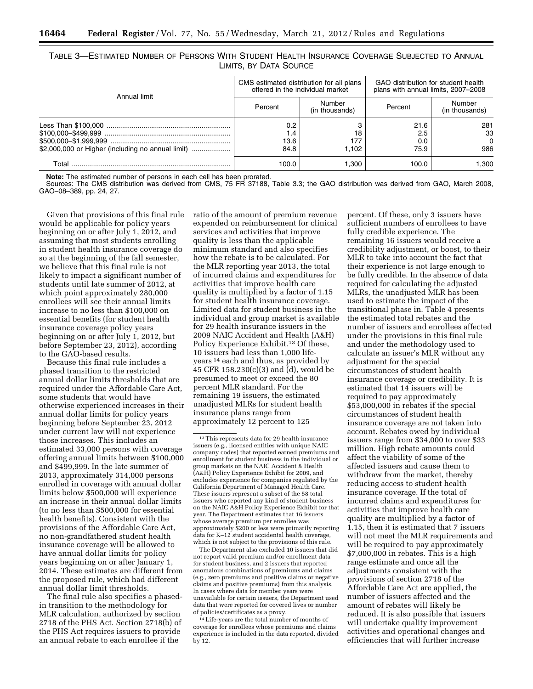|                                                   |                            | CMS estimated distribution for all plans<br>offered in the individual market | GAO distribution for student health<br>plans with annual limits, 2007-2008 |                              |  |
|---------------------------------------------------|----------------------------|------------------------------------------------------------------------------|----------------------------------------------------------------------------|------------------------------|--|
| Annual limit                                      | Percent                    | Number<br>(in thousands)                                                     | Percent                                                                    | Number<br>(in thousands)     |  |
| \$2,000,000 or Higher (including no annual limit) | 0.2<br>1.4<br>13.6<br>84.8 | 18<br>177<br>1.102                                                           | 21.6<br>2.5<br>0.0<br>75.9                                                 | 281<br>33<br>$\Omega$<br>986 |  |
| Г∩tal                                             | 100.0                      | .300                                                                         | 100.0                                                                      | .300 ا                       |  |

TABLE 3—ESTIMATED NUMBER OF PERSONS WITH STUDENT HEALTH INSURANCE COVERAGE SUBJECTED TO ANNUAL LIMITS, BY DATA SOURCE

**Note:** The estimated number of persons in each cell has been prorated.

Sources: The CMS distribution was derived from CMS, 75 FR 37188, Table 3.3; the GAO distribution was derived from GAO, March 2008, GAO–08–389, pp. 24, 27.

Given that provisions of this final rule would be applicable for policy years beginning on or after July 1, 2012, and assuming that most students enrolling in student health insurance coverage do so at the beginning of the fall semester, we believe that this final rule is not likely to impact a significant number of students until late summer of 2012, at which point approximately 280,000 enrollees will see their annual limits increase to no less than \$100,000 on essential benefits (for student health insurance coverage policy years beginning on or after July 1, 2012, but before September 23, 2012), according to the GAO-based results.

Because this final rule includes a phased transition to the restricted annual dollar limits thresholds that are required under the Affordable Care Act, some students that would have otherwise experienced increases in their annual dollar limits for policy years beginning before September 23, 2012 under current law will not experience those increases. This includes an estimated 33,000 persons with coverage offering annual limits between \$100,000 and \$499,999. In the late summer of 2013, approximately 314,000 persons enrolled in coverage with annual dollar limits below \$500,000 will experience an increase in their annual dollar limits (to no less than \$500,000 for essential health benefits). Consistent with the provisions of the Affordable Care Act, no non-grandfathered student health insurance coverage will be allowed to have annual dollar limits for policy years beginning on or after January 1, 2014. These estimates are different from the proposed rule, which had different annual dollar limit thresholds.

The final rule also specifies a phasedin transition to the methodology for MLR calculation, authorized by section 2718 of the PHS Act. Section 2718(b) of the PHS Act requires issuers to provide an annual rebate to each enrollee if the

ratio of the amount of premium revenue expended on reimbursement for clinical services and activities that improve quality is less than the applicable minimum standard and also specifies how the rebate is to be calculated. For the MLR reporting year 2013, the total of incurred claims and expenditures for activities that improve health care quality is multiplied by a factor of 1.15 for student health insurance coverage. Limited data for student business in the individual and group market is available for 29 health insurance issuers in the 2009 NAIC Accident and Health (A&H) Policy Experience Exhibit.13 Of these, 10 issuers had less than 1,000 lifeyears 14 each and thus, as provided by 45 CFR 158.230(c)(3) and (d), would be presumed to meet or exceed the 80 percent MLR standard. For the remaining 19 issuers, the estimated unadjusted MLRs for student health insurance plans range from approximately 12 percent to 125

The Department also excluded 10 issuers that did not report valid premium and/or enrollment data for student business, and 2 issuers that reported anomalous combinations of premiums and claims (e.g., zero premiums and positive claims or negative claims and positive premiums) from this analysis. In cases where data for member years were unavailable for certain issuers, the Department used data that were reported for covered lives or number of policies/certificates as a proxy.

14Life-years are the total number of months of coverage for enrollees whose premiums and claims experience is included in the data reported, divided by 12.

percent. Of these, only 3 issuers have sufficient numbers of enrollees to have fully credible experience. The remaining 16 issuers would receive a credibility adjustment, or boost, to their MLR to take into account the fact that their experience is not large enough to be fully credible. In the absence of data required for calculating the adjusted MLRs, the unadjusted MLR has been used to estimate the impact of the transitional phase in. Table 4 presents the estimated total rebates and the number of issuers and enrollees affected under the provisions in this final rule and under the methodology used to calculate an issuer's MLR without any adjustment for the special circumstances of student health insurance coverage or credibility. It is estimated that 14 issuers will be required to pay approximately \$53,000,000 in rebates if the special circumstances of student health insurance coverage are not taken into account. Rebates owed by individual issuers range from \$34,000 to over \$33 million. High rebate amounts could affect the viability of some of the affected issuers and cause them to withdraw from the market, thereby reducing access to student health insurance coverage. If the total of incurred claims and expenditures for activities that improve health care quality are multiplied by a factor of 1.15, then it is estimated that 7 issuers will not meet the MLR requirements and will be required to pay approximately \$7,000,000 in rebates. This is a high range estimate and once all the adjustments consistent with the provisions of section 2718 of the Affordable Care Act are applied, the number of issuers affected and the amount of rebates will likely be reduced. It is also possible that issuers will undertake quality improvement activities and operational changes and efficiencies that will further increase

<sup>13</sup>This represents data for 29 health insurance issuers (e.g., licensed entities with unique NAIC company codes) that reported earned premiums and enrollment for student business in the individual or group markets on the NAIC Accident & Health (A&H) Policy Experience Exhibit for 2009, and excludes experience for companies regulated by the California Department of Managed Health Care. These issuers represent a subset of the 58 total issuers who reported any kind of student business on the NAIC A&H Policy Experience Exhibit for that year. The Department estimates that 16 issuers whose average premium per enrollee was approximately \$200 or less were primarily reporting data for K–12 student accidental health coverage, which is not subject to the provisions of this rule.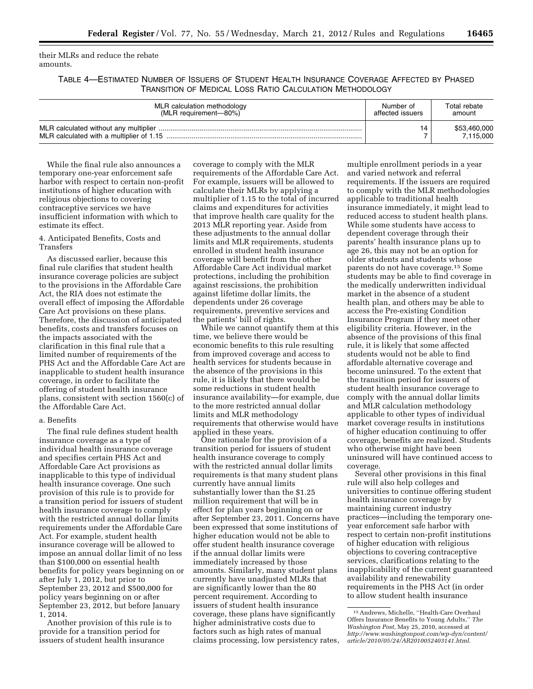their MLRs and reduce the rebate amounts.

TABLE 4—ESTIMATED NUMBER OF ISSUERS OF STUDENT HEALTH INSURANCE COVERAGE AFFECTED BY PHASED TRANSITION OF MEDICAL LOSS RATIO CALCULATION METHODOLOGY

| MLR calculation methodology | Number of        | Total rebate              |
|-----------------------------|------------------|---------------------------|
| (MLR requirement-80%)       | affected issuers | amount                    |
|                             |                  | \$53,460,000<br>7.115.000 |

While the final rule also announces a temporary one-year enforcement safe harbor with respect to certain non-profit institutions of higher education with religious objections to covering contraceptive services we have insufficient information with which to estimate its effect.

4. Anticipated Benefits, Costs and Transfers

As discussed earlier, because this final rule clarifies that student health insurance coverage policies are subject to the provisions in the Affordable Care Act, the RIA does not estimate the overall effect of imposing the Affordable Care Act provisions on these plans. Therefore, the discussion of anticipated benefits, costs and transfers focuses on the impacts associated with the clarification in this final rule that a limited number of requirements of the PHS Act and the Affordable Care Act are inapplicable to student health insurance coverage, in order to facilitate the offering of student health insurance plans, consistent with section 1560(c) of the Affordable Care Act.

### a. Benefits

The final rule defines student health insurance coverage as a type of individual health insurance coverage and specifies certain PHS Act and Affordable Care Act provisions as inapplicable to this type of individual health insurance coverage. One such provision of this rule is to provide for a transition period for issuers of student health insurance coverage to comply with the restricted annual dollar limits requirements under the Affordable Care Act. For example, student health insurance coverage will be allowed to impose an annual dollar limit of no less than \$100,000 on essential health benefits for policy years beginning on or after July 1, 2012, but prior to September 23, 2012 and \$500,000 for policy years beginning on or after September 23, 2012, but before January 1, 2014.

Another provision of this rule is to provide for a transition period for issuers of student health insurance

coverage to comply with the MLR requirements of the Affordable Care Act. For example, issuers will be allowed to calculate their MLRs by applying a multiplier of 1.15 to the total of incurred claims and expenditures for activities that improve health care quality for the 2013 MLR reporting year. Aside from these adjustments to the annual dollar limits and MLR requirements, students enrolled in student health insurance coverage will benefit from the other Affordable Care Act individual market protections, including the prohibition against rescissions, the prohibition against lifetime dollar limits, the dependents under 26 coverage requirements, preventive services and the patients' bill of rights.

While we cannot quantify them at this time, we believe there would be economic benefits to this rule resulting from improved coverage and access to health services for students because in the absence of the provisions in this rule, it is likely that there would be some reductions in student health insurance availability—for example, due to the more restricted annual dollar limits and MLR methodology requirements that otherwise would have applied in these years.

One rationale for the provision of a transition period for issuers of student health insurance coverage to comply with the restricted annual dollar limits requirements is that many student plans currently have annual limits substantially lower than the \$1.25 million requirement that will be in effect for plan years beginning on or after September 23, 2011. Concerns have been expressed that some institutions of higher education would not be able to offer student health insurance coverage if the annual dollar limits were immediately increased by those amounts. Similarly, many student plans currently have unadjusted MLRs that are significantly lower than the 80 percent requirement. According to issuers of student health insurance coverage, these plans have significantly higher administrative costs due to factors such as high rates of manual claims processing, low persistency rates,

multiple enrollment periods in a year and varied network and referral requirements. If the issuers are required to comply with the MLR methodologies applicable to traditional health insurance immediately, it might lead to reduced access to student health plans. While some students have access to dependent coverage through their parents' health insurance plans up to age 26, this may not be an option for older students and students whose parents do not have coverage.15 Some students may be able to find coverage in the medically underwritten individual market in the absence of a student health plan, and others may be able to access the Pre-existing Condition Insurance Program if they meet other eligibility criteria. However, in the absence of the provisions of this final rule, it is likely that some affected students would not be able to find affordable alternative coverage and become uninsured. To the extent that the transition period for issuers of student health insurance coverage to comply with the annual dollar limits and MLR calculation methodology applicable to other types of individual market coverage results in institutions of higher education continuing to offer coverage, benefits are realized. Students who otherwise might have been uninsured will have continued access to coverage.

Several other provisions in this final rule will also help colleges and universities to continue offering student health insurance coverage by maintaining current industry practices—including the temporary oneyear enforcement safe harbor with respect to certain non-profit institutions of higher education with religious objections to covering contraceptive services, clarifications relating to the inapplicability of the current guaranteed availability and renewability requirements in the PHS Act (in order to allow student health insurance

<sup>15</sup>Andrews, Michelle, ''Health-Care Overhaul Offers Insurance Benefits to Young Adults,'' *The Washington Post,* May 25, 2010, accessed at *[http://www.washingtonpost.com/wp-dyn/content/](http://www.washingtonpost.com/wp-dyn/content/article/2010/05/24/AR2010052403141.html)  article/2010/05/24/AR2010052403141.html*.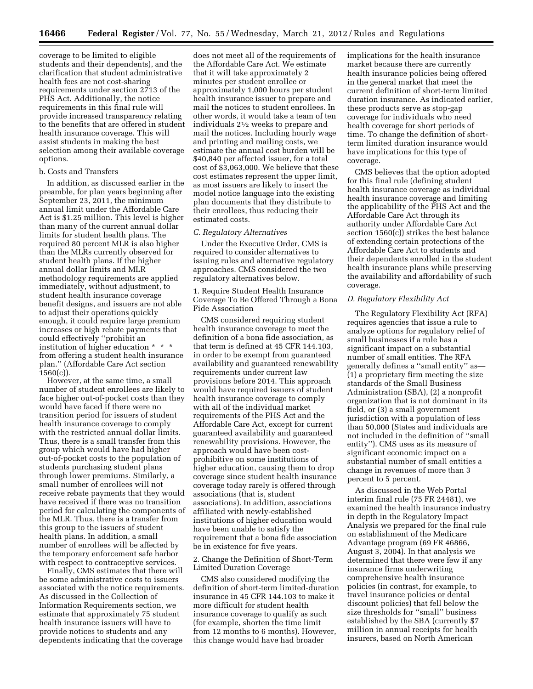coverage to be limited to eligible students and their dependents), and the clarification that student administrative health fees are not cost-sharing requirements under section 2713 of the PHS Act. Additionally, the notice requirements in this final rule will provide increased transparency relating to the benefits that are offered in student health insurance coverage. This will assist students in making the best selection among their available coverage options.

### b. Costs and Transfers

In addition, as discussed earlier in the preamble, for plan years beginning after September 23, 2011, the minimum annual limit under the Affordable Care Act is \$1.25 million. This level is higher than many of the current annual dollar limits for student health plans. The required 80 percent MLR is also higher than the MLRs currently observed for student health plans. If the higher annual dollar limits and MLR methodology requirements are applied immediately, without adjustment, to student health insurance coverage benefit designs, and issuers are not able to adjust their operations quickly enough, it could require large premium increases or high rebate payments that could effectively ''prohibit an institution of higher education \* \* \* from offering a student health insurance plan.'' (Affordable Care Act section  $1560(c)$ ).

However, at the same time, a small number of student enrollees are likely to face higher out-of-pocket costs than they would have faced if there were no transition period for issuers of student health insurance coverage to comply with the restricted annual dollar limits. Thus, there is a small transfer from this group which would have had higher out-of-pocket costs to the population of students purchasing student plans through lower premiums. Similarly, a small number of enrollees will not receive rebate payments that they would have received if there was no transition period for calculating the components of the MLR. Thus, there is a transfer from this group to the issuers of student health plans. In addition, a small number of enrollees will be affected by the temporary enforcement safe harbor with respect to contraceptive services.

Finally, CMS estimates that there will be some administrative costs to issuers associated with the notice requirements. As discussed in the Collection of Information Requirements section, we estimate that approximately 75 student health insurance issuers will have to provide notices to students and any dependents indicating that the coverage

does not meet all of the requirements of the Affordable Care Act. We estimate that it will take approximately 2 minutes per student enrollee or approximately 1,000 hours per student health insurance issuer to prepare and mail the notices to student enrollees. In other words, it would take a team of ten individuals 21⁄2 weeks to prepare and mail the notices. Including hourly wage and printing and mailing costs, we estimate the annual cost burden will be \$40,840 per affected issuer, for a total cost of \$3,063,000. We believe that these cost estimates represent the upper limit, as most issuers are likely to insert the model notice language into the existing plan documents that they distribute to their enrollees, thus reducing their estimated costs.

# *C. Regulatory Alternatives*

Under the Executive Order, CMS is required to consider alternatives to issuing rules and alternative regulatory approaches. CMS considered the two regulatory alternatives below.

1. Require Student Health Insurance Coverage To Be Offered Through a Bona Fide Association

CMS considered requiring student health insurance coverage to meet the definition of a bona fide association, as that term is defined at 45 CFR 144.103, in order to be exempt from guaranteed availability and guaranteed renewability requirements under current law provisions before 2014. This approach would have required issuers of student health insurance coverage to comply with all of the individual market requirements of the PHS Act and the Affordable Care Act, except for current guaranteed availability and guaranteed renewability provisions. However, the approach would have been costprohibitive on some institutions of higher education, causing them to drop coverage since student health insurance coverage today rarely is offered through associations (that is, student associations). In addition, associations affiliated with newly-established institutions of higher education would have been unable to satisfy the requirement that a bona fide association be in existence for five years.

# 2. Change the Definition of Short-Term Limited Duration Coverage

CMS also considered modifying the definition of short-term limited-duration insurance in 45 CFR 144.103 to make it more difficult for student health insurance coverage to qualify as such (for example, shorten the time limit from 12 months to 6 months). However, this change would have had broader

implications for the health insurance market because there are currently health insurance policies being offered in the general market that meet the current definition of short-term limited duration insurance. As indicated earlier, these products serve as stop-gap coverage for individuals who need health coverage for short periods of time. To change the definition of shortterm limited duration insurance would have implications for this type of coverage.

CMS believes that the option adopted for this final rule (defining student health insurance coverage as individual health insurance coverage and limiting the applicability of the PHS Act and the Affordable Care Act through its authority under Affordable Care Act section 1560(c)) strikes the best balance of extending certain protections of the Affordable Care Act to students and their dependents enrolled in the student health insurance plans while preserving the availability and affordability of such coverage.

# *D. Regulatory Flexibility Act*

The Regulatory Flexibility Act (RFA) requires agencies that issue a rule to analyze options for regulatory relief of small businesses if a rule has a significant impact on a substantial number of small entities. The RFA generally defines a ''small entity'' as— (1) a proprietary firm meeting the size standards of the Small Business Administration (SBA), (2) a nonprofit organization that is not dominant in its field, or (3) a small government jurisdiction with a population of less than 50,000 (States and individuals are not included in the definition of ''small entity''). CMS uses as its measure of significant economic impact on a substantial number of small entities a change in revenues of more than 3 percent to 5 percent.

As discussed in the Web Portal interim final rule (75 FR 24481), we examined the health insurance industry in depth in the Regulatory Impact Analysis we prepared for the final rule on establishment of the Medicare Advantage program (69 FR 46866, August 3, 2004). In that analysis we determined that there were few if any insurance firms underwriting comprehensive health insurance policies (in contrast, for example, to travel insurance policies or dental discount policies) that fell below the size thresholds for ''small'' business established by the SBA (currently \$7 million in annual receipts for health insurers, based on North American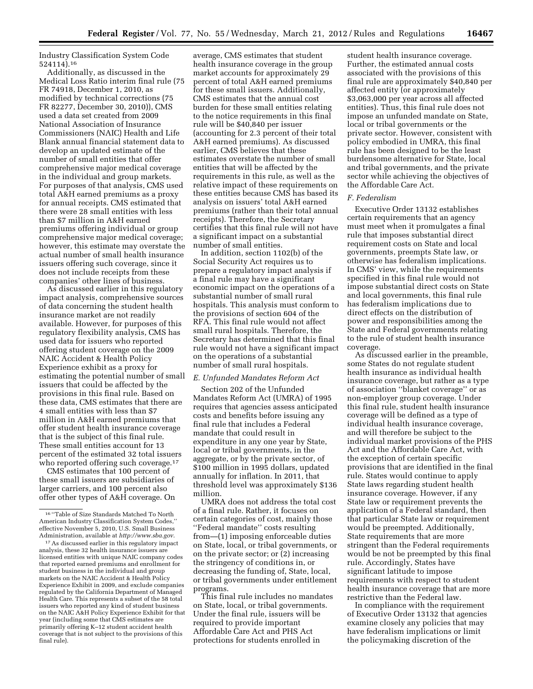Industry Classification System Code 524114).16

Additionally, as discussed in the Medical Loss Ratio interim final rule (75 FR 74918, December 1, 2010, as modified by technical corrections (75 FR 82277, December 30, 2010)), CMS used a data set created from 2009 National Association of Insurance Commissioners (NAIC) Health and Life Blank annual financial statement data to develop an updated estimate of the number of small entities that offer comprehensive major medical coverage in the individual and group markets. For purposes of that analysis, CMS used total A&H earned premiums as a proxy for annual receipts. CMS estimated that there were 28 small entities with less than \$7 million in A&H earned premiums offering individual or group comprehensive major medical coverage; however, this estimate may overstate the actual number of small health insurance issuers offering such coverage, since it does not include receipts from these companies' other lines of business.

As discussed earlier in this regulatory impact analysis, comprehensive sources of data concerning the student health insurance market are not readily available. However, for purposes of this regulatory flexibility analysis, CMS has used data for issuers who reported offering student coverage on the 2009 NAIC Accident & Health Policy Experience exhibit as a proxy for estimating the potential number of small issuers that could be affected by the provisions in this final rule. Based on these data, CMS estimates that there are 4 small entities with less than \$7 million in A&H earned premiums that offer student health insurance coverage that is the subject of this final rule. These small entities account for 13 percent of the estimated 32 total issuers who reported offering such coverage.<sup>17</sup>

CMS estimates that 100 percent of these small issuers are subsidiaries of larger carriers, and 100 percent also offer other types of A&H coverage. On

average, CMS estimates that student health insurance coverage in the group market accounts for approximately 29 percent of total A&H earned premiums for these small issuers. Additionally, CMS estimates that the annual cost burden for these small entities relating to the notice requirements in this final rule will be \$40,840 per issuer (accounting for 2.3 percent of their total A&H earned premiums). As discussed earlier, CMS believes that these estimates overstate the number of small entities that will be affected by the requirements in this rule, as well as the relative impact of these requirements on these entities because CMS has based its analysis on issuers' total A&H earned premiums (rather than their total annual receipts). Therefore, the Secretary certifies that this final rule will not have a significant impact on a substantial number of small entities.

In addition, section 1102(b) of the Social Security Act requires us to prepare a regulatory impact analysis if a final rule may have a significant economic impact on the operations of a substantial number of small rural hospitals. This analysis must conform to the provisions of section 604 of the RFA. This final rule would not affect small rural hospitals. Therefore, the Secretary has determined that this final rule would not have a significant impact on the operations of a substantial number of small rural hospitals.

### *E. Unfunded Mandates Reform Act*

Section 202 of the Unfunded Mandates Reform Act (UMRA) of 1995 requires that agencies assess anticipated costs and benefits before issuing any final rule that includes a Federal mandate that could result in expenditure in any one year by State, local or tribal governments, in the aggregate, or by the private sector, of \$100 million in 1995 dollars, updated annually for inflation. In 2011, that threshold level was approximately \$136 million.

UMRA does not address the total cost of a final rule. Rather, it focuses on certain categories of cost, mainly those ''Federal mandate'' costs resulting from—(1) imposing enforceable duties on State, local, or tribal governments, or on the private sector; or (2) increasing the stringency of conditions in, or decreasing the funding of, State, local, or tribal governments under entitlement programs.

This final rule includes no mandates on State, local, or tribal governments. Under the final rule, issuers will be required to provide important Affordable Care Act and PHS Act protections for students enrolled in

student health insurance coverage. Further, the estimated annual costs associated with the provisions of this final rule are approximately \$40,840 per affected entity (or approximately \$3,063,000 per year across all affected entities). Thus, this final rule does not impose an unfunded mandate on State, local or tribal governments or the private sector. However, consistent with policy embodied in UMRA, this final rule has been designed to be the least burdensome alternative for State, local and tribal governments, and the private sector while achieving the objectives of the Affordable Care Act.

### *F. Federalism*

Executive Order 13132 establishes certain requirements that an agency must meet when it promulgates a final rule that imposes substantial direct requirement costs on State and local governments, preempts State law, or otherwise has federalism implications. In CMS' view, while the requirements specified in this final rule would not impose substantial direct costs on State and local governments, this final rule has federalism implications due to direct effects on the distribution of power and responsibilities among the State and Federal governments relating to the rule of student health insurance coverage.

As discussed earlier in the preamble, some States do not regulate student health insurance as individual health insurance coverage, but rather as a type of association ''blanket coverage'' or as non-employer group coverage. Under this final rule, student health insurance coverage will be defined as a type of individual health insurance coverage, and will therefore be subject to the individual market provisions of the PHS Act and the Affordable Care Act, with the exception of certain specific provisions that are identified in the final rule. States would continue to apply State laws regarding student health insurance coverage. However, if any State law or requirement prevents the application of a Federal standard, then that particular State law or requirement would be preempted. Additionally, State requirements that are more stringent than the Federal requirements would be not be preempted by this final rule. Accordingly, States have significant latitude to impose requirements with respect to student health insurance coverage that are more restrictive than the Federal law.

In compliance with the requirement of Executive Order 13132 that agencies examine closely any policies that may have federalism implications or limit the policymaking discretion of the

<sup>16</sup> ''Table of Size Standards Matched To North American Industry Classification System Codes,'' effective November 5, 2010, U.S. Small Business Administration, available at *<http://www.sba.gov>*.

<sup>17</sup>As discussed earlier in this regulatory impact analysis, these 32 health insurance issuers are licensed entities with unique NAIC company codes that reported earned premiums and enrollment for student business in the individual and group markets on the NAIC Accident & Health Policy Experience Exhibit in 2009, and exclude companies regulated by the California Department of Managed Health Care. This represents a subset of the 58 total issuers who reported any kind of student business on the NAIC A&H Policy Experience Exhibit for that year (including some that CMS estimates are primarily offering K–12 student accident health coverage that is not subject to the provisions of this final rule).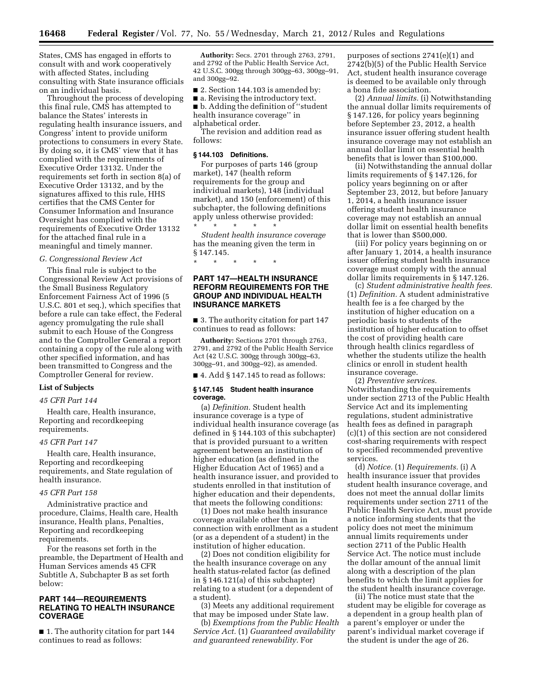States, CMS has engaged in efforts to consult with and work cooperatively with affected States, including consulting with State insurance officials on an individual basis.

Throughout the process of developing this final rule, CMS has attempted to balance the States' interests in regulating health insurance issuers, and Congress' intent to provide uniform protections to consumers in every State. By doing so, it is CMS' view that it has complied with the requirements of Executive Order 13132. Under the requirements set forth in section 8(a) of Executive Order 13132, and by the signatures affixed to this rule, HHS certifies that the CMS Center for Consumer Information and Insurance Oversight has complied with the requirements of Executive Order 13132 for the attached final rule in a meaningful and timely manner.

### *G. Congressional Review Act*

This final rule is subject to the Congressional Review Act provisions of the Small Business Regulatory Enforcement Fairness Act of 1996 (5 U.S.C. 801 et seq.), which specifies that before a rule can take effect, the Federal agency promulgating the rule shall submit to each House of the Congress and to the Comptroller General a report containing a copy of the rule along with other specified information, and has been transmitted to Congress and the Comptroller General for review.

# **List of Subjects**

### *45 CFR Part 144*

Health care, Health insurance, Reporting and recordkeeping requirements.

#### *45 CFR Part 147*

Health care, Health insurance, Reporting and recordkeeping requirements, and State regulation of health insurance.

### *45 CFR Part 158*

Administrative practice and procedure, Claims, Health care, Health insurance, Health plans, Penalties, Reporting and recordkeeping requirements.

For the reasons set forth in the preamble, the Department of Health and Human Services amends 45 CFR Subtitle A, Subchapter B as set forth below:

# **PART 144—REQUIREMENTS RELATING TO HEALTH INSURANCE COVERAGE**

■ 1. The authority citation for part 144 continues to read as follows:

**Authority:** Secs. 2701 through 2763, 2791, and 2792 of the Public Health Service Act, 42 U.S.C. 300gg through 300gg–63, 300gg–91, and 300gg–92.

■ 2. Section 144.103 is amended by:

■ a. Revising the introductory text. ■ b. Adding the definition of "student" health insurance coverage'' in alphabetical order.

The revision and addition read as follows:

### **§ 144.103 Definitions.**

For purposes of parts 146 (group market), 147 (health reform requirements for the group and individual markets), 148 (individual market), and 150 (enforcement) of this subchapter, the following definitions apply unless otherwise provided:<br> $\begin{array}{ccc} \ast & \ast & \ast & \ast \\ \ast & \ast & \ast & \ast \end{array}$ \* \* \* \* \*

*Student health insurance coverage*  has the meaning given the term in § 147.145.

\* \* \* \* \*

# **PART 147—HEALTH INSURANCE REFORM REQUIREMENTS FOR THE GROUP AND INDIVIDUAL HEALTH INSURANCE MARKETS**

■ 3. The authority citation for part 147 continues to read as follows:

**Authority:** Sections 2701 through 2763, 2791, and 2792 of the Public Health Service Act (42 U.S.C. 300gg through 300gg–63, 300gg–91, and 300gg–92), as amended.

 $\blacksquare$  4. Add § 147.145 to read as follows:

#### **§ 147.145 Student health insurance coverage.**

(a) *Definition.* Student health insurance coverage is a type of individual health insurance coverage (as defined in § 144.103 of this subchapter) that is provided pursuant to a written agreement between an institution of higher education (as defined in the Higher Education Act of 1965) and a health insurance issuer, and provided to students enrolled in that institution of higher education and their dependents, that meets the following conditions:

(1) Does not make health insurance coverage available other than in connection with enrollment as a student (or as a dependent of a student) in the institution of higher education.

(2) Does not condition eligibility for the health insurance coverage on any health status-related factor (as defined in § 146.121(a) of this subchapter) relating to a student (or a dependent of a student).

(3) Meets any additional requirement that may be imposed under State law.

(b) *Exemptions from the Public Health Service Act.* (1) *Guaranteed availability and guaranteed renewability.* For

purposes of sections 2741(e)(1) and 2742(b)(5) of the Public Health Service Act, student health insurance coverage is deemed to be available only through a bona fide association.

(2) *Annual limits.* (i) Notwithstanding the annual dollar limits requirements of § 147.126, for policy years beginning before September 23, 2012, a health insurance issuer offering student health insurance coverage may not establish an annual dollar limit on essential health benefits that is lower than \$100,000.

(ii) Notwithstanding the annual dollar limits requirements of § 147.126, for policy years beginning on or after September 23, 2012, but before January 1, 2014, a health insurance issuer offering student health insurance coverage may not establish an annual dollar limit on essential health benefits that is lower than \$500,000.

(iii) For policy years beginning on or after January 1, 2014, a health insurance issuer offering student health insurance coverage must comply with the annual dollar limits requirements in § 147.126.

(c) *Student administrative health fees.*  (1) *Definition.* A student administrative health fee is a fee charged by the institution of higher education on a periodic basis to students of the institution of higher education to offset the cost of providing health care through health clinics regardless of whether the students utilize the health clinics or enroll in student health insurance coverage.

(2) *Preventive services.*  Notwithstanding the requirements under section 2713 of the Public Health Service Act and its implementing regulations, student administrative health fees as defined in paragraph (c)(1) of this section are not considered cost-sharing requirements with respect to specified recommended preventive services.

(d) *Notice.* (1) *Requirements.* (i) A health insurance issuer that provides student health insurance coverage, and does not meet the annual dollar limits requirements under section 2711 of the Public Health Service Act, must provide a notice informing students that the policy does not meet the minimum annual limits requirements under section 2711 of the Public Health Service Act. The notice must include the dollar amount of the annual limit along with a description of the plan benefits to which the limit applies for the student health insurance coverage.

(ii) The notice must state that the student may be eligible for coverage as a dependent in a group health plan of a parent's employer or under the parent's individual market coverage if the student is under the age of 26.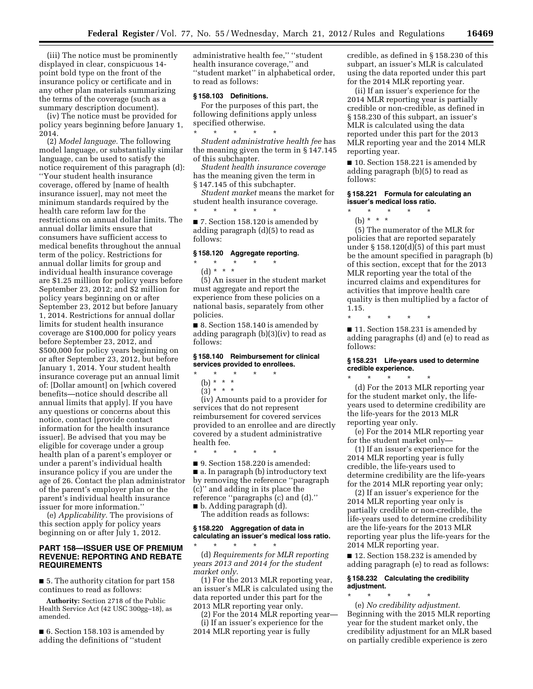(iii) The notice must be prominently displayed in clear, conspicuous 14 point bold type on the front of the insurance policy or certificate and in any other plan materials summarizing the terms of the coverage (such as a summary description document).

(iv) The notice must be provided for policy years beginning before January 1, 2014.

(2) *Model language.* The following model language, or substantially similar language, can be used to satisfy the notice requirement of this paragraph (d): ''Your student health insurance coverage, offered by [name of health insurance issuer], may not meet the minimum standards required by the health care reform law for the restrictions on annual dollar limits. The annual dollar limits ensure that consumers have sufficient access to medical benefits throughout the annual term of the policy. Restrictions for annual dollar limits for group and individual health insurance coverage are \$1.25 million for policy years before September 23, 2012; and \$2 million for policy years beginning on or after September 23, 2012 but before January 1, 2014. Restrictions for annual dollar limits for student health insurance coverage are \$100,000 for policy years before September 23, 2012, and \$500,000 for policy years beginning on or after September 23, 2012, but before January 1, 2014. Your student health insurance coverage put an annual limit of: [Dollar amount] on [which covered benefits—notice should describe all annual limits that apply]. If you have any questions or concerns about this notice, contact [provide contact information for the health insurance issuer]. Be advised that you may be eligible for coverage under a group health plan of a parent's employer or under a parent's individual health insurance policy if you are under the age of 26. Contact the plan administrator of the parent's employer plan or the parent's individual health insurance issuer for more information.''

(e) *Applicability.* The provisions of this section apply for policy years beginning on or after July 1, 2012.

# **PART 158—ISSUER USE OF PREMIUM REVENUE: REPORTING AND REBATE REQUIREMENTS**

■ 5. The authority citation for part 158 continues to read as follows:

**Authority:** Section 2718 of the Public Health Service Act (42 USC 300gg–18), as amended.

■ 6. Section 158.103 is amended by adding the definitions of ''student

administrative health fee,'' ''student health insurance coverage,'' and ''student market'' in alphabetical order, to read as follows:

# **§ 158.103 Definitions.**

For the purposes of this part, the following definitions apply unless specified otherwise.

\* \* \* \* \* *Student administrative health fee* has the meaning given the term in § 147.145 of this subchapter.

*Student health insurance coverage*  has the meaning given the term in § 147.145 of this subchapter.

*Student market* means the market for student health insurance coverage. \* \* \* \* \*

■ 7. Section 158.120 is amended by adding paragraph (d)(5) to read as follows:

# **§ 158.120 Aggregate reporting.**

\* \* \* \* \* (d) \* \* \*

(5) An issuer in the student market must aggregate and report the experience from these policies on a national basis, separately from other policies.

■ 8. Section 158.140 is amended by adding paragraph (b)(3)(iv) to read as follows:

# **§ 158.140 Reimbursement for clinical services provided to enrollees.**

- $\star$   $\star$   $\star$ (b) \* \* \*
- $(3) * * * *$

(iv) Amounts paid to a provider for services that do not represent reimbursement for covered services provided to an enrollee and are directly covered by a student administrative health fee.

\* \* \* \* \* ■ 9. Section 158.220 is amended: ■ a. In paragraph (b) introductory text by removing the reference ''paragraph (c)'' and adding in its place the reference ''paragraphs (c) and (d).'' ■ b. Adding paragraph (d).

The addition reads as follows:

# **§ 158.220 Aggregation of data in calculating an issuer's medical loss ratio.**

\* \* \* \* \* (d) *Requirements for MLR reporting years 2013 and 2014 for the student market only.* 

(1) For the 2013 MLR reporting year, an issuer's MLR is calculated using the data reported under this part for the 2013 MLR reporting year only.

(2) For the 2014 MLR reporting year— (i) If an issuer's experience for the 2014 MLR reporting year is fully

credible, as defined in § 158.230 of this subpart, an issuer's MLR is calculated using the data reported under this part for the 2014 MLR reporting year.

(ii) If an issuer's experience for the 2014 MLR reporting year is partially credible or non-credible, as defined in § 158.230 of this subpart, an issuer's MLR is calculated using the data reported under this part for the 2013 MLR reporting year and the 2014 MLR reporting year.

■ 10. Section 158.221 is amended by adding paragraph (b)(5) to read as follows:

# **§ 158.221 Formula for calculating an issuer's medical loss ratio.**

 $\star$   $\qquad$   $\star$   $\qquad$   $\star$ (b) \* \* \*

(5) The numerator of the MLR for policies that are reported separately under § 158.120(d)(5) of this part must be the amount specified in paragraph (b) of this section, except that for the 2013 MLR reporting year the total of the incurred claims and expenditures for activities that improve health care quality is then multiplied by a factor of 1.15.

■ 11. Section 158.231 is amended by adding paragraphs (d) and (e) to read as follows:

\* \* \* \* \*

# **§ 158.231 Life-years used to determine credible experience.**

\* \* \* \* \* (d) For the 2013 MLR reporting year for the student market only, the lifeyears used to determine credibility are the life-years for the 2013 MLR reporting year only.

(e) For the 2014 MLR reporting year for the student market only—

(1) If an issuer's experience for the 2014 MLR reporting year is fully credible, the life-years used to determine credibility are the life-years for the 2014 MLR reporting year only;

(2) If an issuer's experience for the 2014 MLR reporting year only is partially credible or non-credible, the life-years used to determine credibility are the life-years for the 2013 MLR reporting year plus the life-years for the 2014 MLR reporting year.

■ 12. Section 158.232 is amended by adding paragraph (e) to read as follows:

### **§ 158.232 Calculating the credibility adjustment.**

\* \* \* \* \* (e) *No credibility adjustment.*  Beginning with the 2015 MLR reporting year for the student market only, the credibility adjustment for an MLR based on partially credible experience is zero